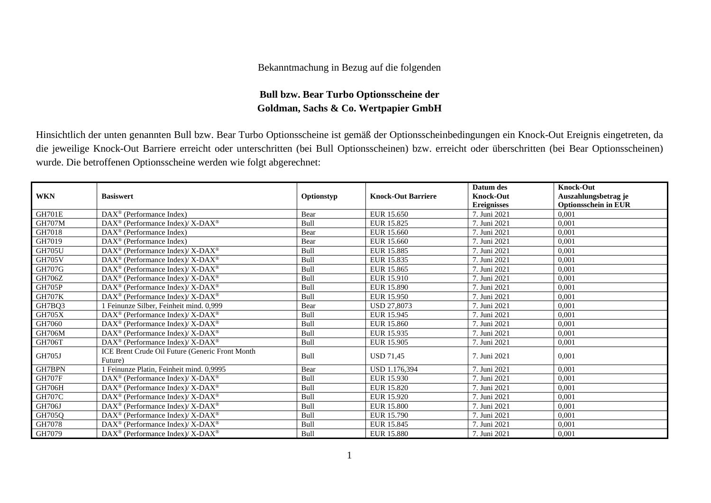## Bekanntmachung in Bezug auf die folgenden

## **Bull bzw. Bear Turbo Optionsscheine der Goldman, Sachs & Co. Wertpapier GmbH**

Hinsichtlich der unten genannten Bull bzw. Bear Turbo Optionsscheine ist gemäß der Optionsscheinbedingungen ein Knock-Out Ereignis eingetreten, da die jeweilige Knock-Out Barriere erreicht oder unterschritten (bei Bull Optionsscheinen) bzw. erreicht oder überschritten (bei Bear Optionsscheinen) wurde. Die betroffenen Optionsscheine werden wie folgt abgerechnet:

|               |                                                              |            |                           | Datum des          | Knock-Out                   |
|---------------|--------------------------------------------------------------|------------|---------------------------|--------------------|-----------------------------|
| <b>WKN</b>    | <b>Basiswert</b>                                             | Optionstyp | <b>Knock-Out Barriere</b> | <b>Knock-Out</b>   | Auszahlungsbetrag je        |
|               |                                                              |            |                           | <b>Ereignisses</b> | <b>Optionsschein in EUR</b> |
| <b>GH701E</b> | $\text{DAX}^{\otimes}$ (Performance Index)                   | Bear       | EUR 15.650                | 7. Juni 2021       | 0.001                       |
| <b>GH707M</b> | $DAX^{\circledcirc}$ (Performance Index)/ X-DAX <sup>®</sup> | Bull       | EUR 15.825                | 7. Juni 2021       | 0,001                       |
| GH7018        | DAX <sup>®</sup> (Performance Index)                         | Bear       | EUR 15.660                | 7. Juni 2021       | 0.001                       |
| GH7019        | $DAX^{\circledcirc}$ (Performance Index)                     | Bear       | EUR 15.660                | 7. Juni 2021       | 0,001                       |
| <b>GH705U</b> | $DAX^{\circledast}$ (Performance Index)/ X-DAX <sup>®</sup>  | Bull       | EUR 15.885                | 7. Juni 2021       | 0,001                       |
| <b>GH705V</b> | DAX <sup>®</sup> (Performance Index)/ X-DAX <sup>®</sup>     | Bull       | EUR 15.835                | 7. Juni 2021       | 0.001                       |
| <b>GH707G</b> | $DAX^{\circledast}$ (Performance Index)/ X-DAX <sup>®</sup>  | Bull       | EUR 15.865                | 7. Juni 2021       | 0,001                       |
| GH706Z        | $DAX^{\circledcirc}$ (Performance Index)/ X-DAX <sup>®</sup> | Bull       | EUR 15.910                | 7. Juni 2021       | 0,001                       |
| <b>GH705P</b> | DAX <sup>®</sup> (Performance Index)/ X-DAX <sup>®</sup>     | Bull       | EUR 15.890                | 7. Juni 2021       | 0.001                       |
| <b>GH707K</b> | DAX <sup>®</sup> (Performance Index)/ X-DAX <sup>®</sup>     | Bull       | EUR 15.950                | 7. Juni 2021       | 0,001                       |
| GH7BQ3        | 1 Feinunze Silber, Feinheit mind. 0,999                      | Bear       | <b>USD 27,8073</b>        | 7. Juni 2021       | 0,001                       |
| <b>GH705X</b> | $DAX^{\circledast}$ (Performance Index)/ X-DAX <sup>®</sup>  | Bull       | EUR 15.945                | 7. Juni 2021       | 0,001                       |
| GH7060        | $DAX^{\circledcirc}$ (Performance Index)/ X-DAX <sup>®</sup> | Bull       | EUR 15.860                | 7. Juni 2021       | 0,001                       |
| <b>GH706M</b> | $DAX^{\circledast}$ (Performance Index)/ X-DAX <sup>®</sup>  | Bull       | EUR 15.935                | 7. Juni 2021       | 0.001                       |
| <b>GH706T</b> | DAX <sup>®</sup> (Performance Index)/ X-DAX <sup>®</sup>     | Bull       | EUR 15.905                | 7. Juni 2021       | 0.001                       |
| <b>GH705J</b> | ICE Brent Crude Oil Future (Generic Front Month              | Bull       | <b>USD 71.45</b>          | 7. Juni 2021       | 0.001                       |
|               | Future)                                                      |            |                           |                    |                             |
| GH7BPN        | 1 Feinunze Platin, Feinheit mind. 0,9995                     | Bear       | USD 1.176.394             | 7. Juni 2021       | 0.001                       |
| <b>GH707F</b> | $DAX^{\circledast}$ (Performance Index)/ X-DAX <sup>®</sup>  | Bull       | EUR 15.930                | 7. Juni 2021       | 0,001                       |
| <b>GH706H</b> | $DAX^{\circledast}$ (Performance Index)/ X-DAX <sup>®</sup>  | Bull       | EUR 15.820                | 7. Juni 2021       | 0,001                       |
| <b>GH707C</b> | $DAX^{\circledcirc}$ (Performance Index)/ X-DAX <sup>®</sup> | Bull       | EUR 15.920                | 7. Juni 2021       | 0.001                       |
| <b>GH706J</b> | $DAX^{\circledast}$ (Performance Index)/ X-DAX <sup>®</sup>  | Bull       | <b>EUR 15.800</b>         | 7. Juni 2021       | 0,001                       |
| GH705Q        | $DAX^{\circledast}$ (Performance Index)/ X-DAX <sup>®</sup>  | Bull       | EUR 15.790                | 7. Juni 2021       | 0,001                       |
| GH7078        | $DAX^{\circledcirc}$ (Performance Index)/ X-DAX <sup>®</sup> | Bull       | EUR 15.845                | 7. Juni 2021       | 0,001                       |
| GH7079        | $DAX^{\circledcirc}$ (Performance Index)/ X-DAX <sup>®</sup> | Bull       | <b>EUR 15.880</b>         | 7. Juni 2021       | 0,001                       |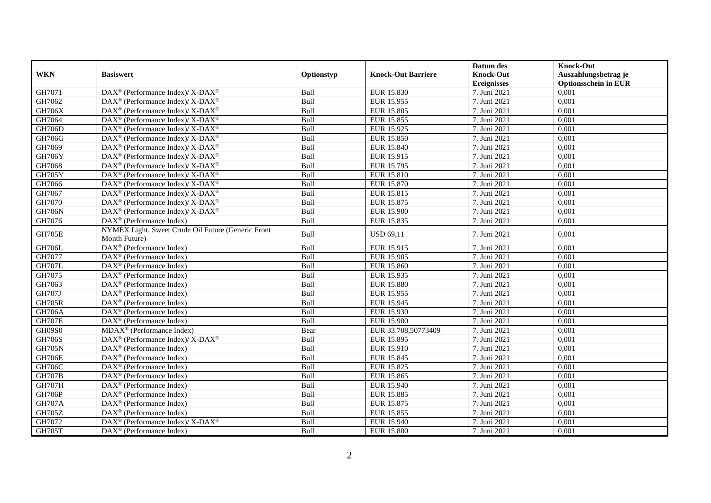|               |                                                                           |            |                           | Datum des        | <b>Knock-Out</b>            |
|---------------|---------------------------------------------------------------------------|------------|---------------------------|------------------|-----------------------------|
| <b>WKN</b>    | <b>Basiswert</b>                                                          | Optionstyp | <b>Knock-Out Barriere</b> | <b>Knock-Out</b> | Auszahlungsbetrag je        |
|               |                                                                           |            |                           | Ereignisses      | <b>Optionsschein in EUR</b> |
| GH7071        | DAX <sup>®</sup> (Performance Index)/ X-DAX <sup>®</sup>                  | Bull       | EUR 15.830                | 7. Juni 2021     | 0,001                       |
| GH7062        | $\overline{\text{DAX}^{\otimes}}$ (Performance Index)/X-DAX <sup>®</sup>  | Bull       | EUR 15.955                | 7. Juni 2021     | 0,001                       |
| <b>GH706X</b> | $\overline{\text{DAX}^{\otimes}}$ (Performance Index)/X-DAX <sup>®</sup>  | Bull       | EUR 15.805                | 7. Juni 2021     | 0,001                       |
| GH7064        | DAX <sup>®</sup> (Performance Index)/ X-DAX <sup>®</sup>                  | Bull       | EUR 15.855                | 7. Juni 2021     | 0,001                       |
| <b>GH706D</b> | DAX <sup>®</sup> (Performance Index)/ X-DAX <sup>®</sup>                  | Bull       | EUR 15.925                | 7. Juni 2021     | 0,001                       |
| <b>GH706G</b> | DAX <sup>®</sup> (Performance Index)/ X-DAX <sup>®</sup>                  | Bull       | EUR 15.850                | 7. Juni 2021     | 0,001                       |
| GH7069        | $DAX^{\circledast}$ (Performance Index)/ X-DAX <sup>®</sup>               | Bull       | EUR 15.840                | 7. Juni 2021     | 0,001                       |
| <b>GH706Y</b> | $DAX^{\circledast}$ (Performance Index)/ X-DAX <sup>®</sup>               | Bull       | EUR 15.915                | 7. Juni 2021     | 0,001                       |
| GH7068        | $DAX^{\circledcirc}$ (Performance Index)/ X-DAX <sup>®</sup>              | Bull       | EUR 15.795                | 7. Juni 2021     | 0,001                       |
| <b>GH705Y</b> | DAX <sup>®</sup> (Performance Index)/ X-DAX <sup>®</sup>                  | Bull       | <b>EUR 15.810</b>         | 7. Juni 2021     | 0,001                       |
| GH7066        | DAX <sup>®</sup> (Performance Index)/ X-DAX <sup>®</sup>                  | Bull       | <b>EUR 15.870</b>         | 7. Juni 2021     | 0,001                       |
| GH7067        | DAX <sup>®</sup> (Performance Index)/ X-DAX <sup>®</sup>                  | Bull       | EUR 15.815                | 7. Juni 2021     | 0,001                       |
| GH7070        | DAX <sup>®</sup> (Performance Index)/ X-DAX <sup>®</sup>                  | Bull       | EUR 15.875                | 7. Juni 2021     | 0,001                       |
| <b>GH706N</b> | DAX <sup>®</sup> (Performance Index)/ X-DAX <sup>®</sup>                  | Bull       | EUR 15.900                | 7. Juni 2021     | 0,001                       |
| GH7076        | $DAX^{\circledcirc}$ (Performance Index)                                  | Bull       | EUR 15.835                | 7. Juni 2021     | 0,001                       |
| <b>GH705E</b> | NYMEX Light, Sweet Crude Oil Future (Generic Front                        | Bull       | <b>USD 69,11</b>          | 7. Juni 2021     | 0,001                       |
|               | Month Future)                                                             |            |                           |                  |                             |
| <b>GH706L</b> | $\overline{\text{DAX}^{\otimes}}$ (Performance Index)                     | Bull       | EUR 15.915                | 7. Juni 2021     | 0,001                       |
| GH7077        | DAX <sup>®</sup> (Performance Index)                                      | Bull       | EUR 15.905                | 7. Juni 2021     | 0,001                       |
| <b>GH707L</b> | DAX <sup>®</sup> (Performance Index)                                      | Bull       | EUR 15.860                | 7. Juni 2021     | 0,001                       |
| GH7075        | $DAX^{\circledcirc}$ (Performance Index)                                  | Bull       | EUR 15.935                | 7. Juni 2021     | 0.001                       |
| GH7063        | DAX <sup>®</sup> (Performance Index)                                      | Bull       | <b>EUR 15.880</b>         | 7. Juni 2021     | 0,001                       |
| <b>GH707J</b> | $\overline{\text{DAX}^{\otimes}}$ (Performance Index)                     | Bull       | EUR 15.955                | 7. Juni 2021     | 0,001                       |
| <b>GH705R</b> | $\overline{\text{DAX}^{\otimes}}$ (Performance Index)                     | Bull       | EUR 15.945                | 7. Juni 2021     | 0,001                       |
| <b>GH706A</b> | $DAX^{\circledast}$ (Performance Index)                                   | Bull       | EUR 15.930                | 7. Juni 2021     | 0,001                       |
| <b>GH707E</b> | $DAX^{\circledast}$ (Performance Index)                                   | Bull       | <b>EUR 15.900</b>         | 7. Juni 2021     | 0,001                       |
| GH09S0        | MDAX <sup>®</sup> (Performance Index)                                     | Bear       | EUR 33.708,50773409       | 7. Juni 2021     | 0,001                       |
| <b>GH706S</b> | $DAX^{\circledast}$ (Performance Index)/ $\overline{X-DAX^{\circledast}}$ | Bull       | EUR 15.895                | 7. Juni 2021     | 0,001                       |
| <b>GH705N</b> | $DAX^{\circledR}$ (Performance Index)                                     | Bull       | EUR 15.910                | 7. Juni 2021     | 0,001                       |
| <b>GH706E</b> | $DAX^{\circledast}$ (Performance Index)                                   | Bull       | EUR 15.845                | 7. Juni 2021     | 0,001                       |
| <b>GH706C</b> | $DAX^{\circledast}$ (Performance Index)                                   | Bull       | EUR 15.825                | 7. Juni 2021     | 0,001                       |
| <b>GH707B</b> | $DAX^{\circledast}$ (Performance Index)                                   | Bull       | EUR 15.865                | 7. Juni 2021     | 0,001                       |
| <b>GH707H</b> | $DAX^{\circledcirc}$ (Performance Index)                                  | Bull       | EUR 15.940                | 7. Juni 2021     | 0,001                       |
| <b>GH706P</b> | DAX <sup>®</sup> (Performance Index)                                      | Bull       | <b>EUR 15.885</b>         | 7. Juni 2021     | 0,001                       |
| <b>GH707A</b> | $\overline{\text{DAX}^{\otimes}}$ (Performance Index)                     | Bull       | EUR 15.875                | 7. Juni 2021     | 0,001                       |
| <b>GH705Z</b> | $DAX^{\circledR}$ (Performance Index)                                     | Bull       | EUR 15.855                | 7. Juni 2021     | 0,001                       |
| GH7072        | DAX <sup>®</sup> (Performance Index)/ X-DAX <sup>®</sup>                  | Bull       | EUR 15.940                | 7. Juni 2021     | 0,001                       |
| <b>GH705T</b> | DAX <sup>®</sup> (Performance Index)                                      | Bull       | <b>EUR 15.800</b>         | 7. Juni 2021     | 0,001                       |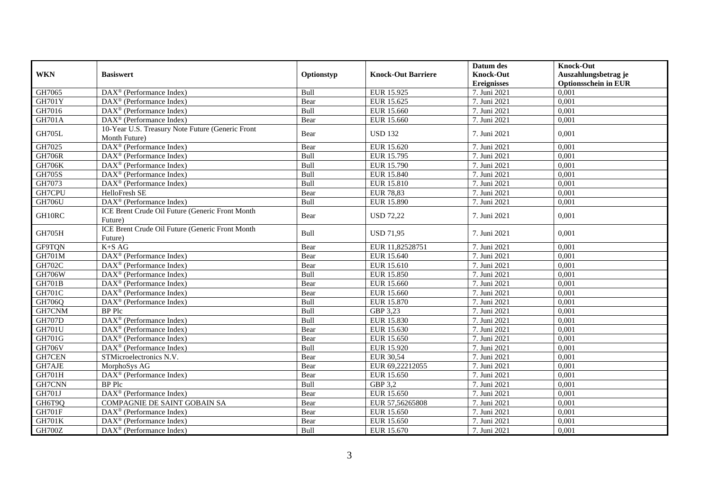|                 |                                                                   |            |                           | Datum des                              | <b>Knock-Out</b>                                    |
|-----------------|-------------------------------------------------------------------|------------|---------------------------|----------------------------------------|-----------------------------------------------------|
| <b>WKN</b>      | <b>Basiswert</b>                                                  | Optionstyp | <b>Knock-Out Barriere</b> | <b>Knock-Out</b><br><b>Ereignisses</b> | Auszahlungsbetrag je<br><b>Optionsschein in EUR</b> |
| GH7065          | DAX <sup>®</sup> (Performance Index)                              | Bull       | EUR 15.925                | 7. Juni 2021                           | 0,001                                               |
| <b>GH701Y</b>   | $\overline{\text{DAX}}^{\textcirc}$ (Performance Index)           | Bear       | EUR 15.625                | 7. Juni 2021                           | 0,001                                               |
| GH7016          | DAX <sup>®</sup> (Performance Index)                              | Bull       | EUR 15.660                | 7. Juni 2021                           | 0,001                                               |
| <b>GH701A</b>   | DAX <sup>®</sup> (Performance Index)                              | Bear       | EUR 15.660                | 7. Juni 2021                           | 0,001                                               |
| <b>GH705L</b>   | 10-Year U.S. Treasury Note Future (Generic Front<br>Month Future) | Bear       | <b>USD 132</b>            | 7. Juni 2021                           | 0,001                                               |
| GH7025          | DAX <sup>®</sup> (Performance Index)                              | Bear       | EUR 15.620                | 7. Juni 2021                           | 0,001                                               |
| <b>GH706R</b>   | $\overline{\text{DAX}}^{\textcircled{}}$ (Performance Index)      | Bull       | EUR 15.795                | 7. Juni 2021                           | 0,001                                               |
| <b>GH706K</b>   | DAX <sup>®</sup> (Performance Index)                              | Bull       | EUR 15.790                | 7. Juni 2021                           | 0,001                                               |
| <b>GH705S</b>   | $DAX^{\circledast}$ (Performance Index)                           | Bull       | <b>EUR 15.840</b>         | 7. Juni 2021                           | 0,001                                               |
| GH7073          | $\overline{\text{DAX}}^{\textcircled{}}$ (Performance Index)      | Bull       | <b>EUR 15.810</b>         | 7. Juni 2021                           | 0,001                                               |
| GH7CPU          | HelloFresh SE                                                     | Bear       | <b>EUR 78,83</b>          | 7. Juni 2021                           | 0,001                                               |
| <b>GH706U</b>   | DAX <sup>®</sup> (Performance Index)                              | Bull       | EUR 15.890                | 7. Juni 2021                           | 0.001                                               |
| GH10RC          | ICE Brent Crude Oil Future (Generic Front Month<br>Future)        | Bear       | <b>USD 72,22</b>          | 7. Juni 2021                           | 0,001                                               |
| <b>GH705H</b>   | ICE Brent Crude Oil Future (Generic Front Month<br>Future)        | Bull       | <b>USD 71,95</b>          | 7. Juni 2021                           | 0,001                                               |
| GF9TQN          | $K+SAG$                                                           | Bear       | EUR 11.82528751           | 7. Juni 2021                           | 0.001                                               |
| <b>GH701M</b>   | DAX <sup>®</sup> (Performance Index)                              | Bear       | EUR 15.640                | 7. Juni 2021                           | 0,001                                               |
| <b>GH702C</b>   | $DAX^{\circledast}$ (Performance Index)                           | Bear       | EUR 15.610                | 7. Juni 2021                           | 0,001                                               |
| <b>GH706W</b>   | $\overline{\text{DAX}}^{\textcircled{}}$ (Performance Index)      | Bull       | <b>EUR 15.850</b>         | 7. Juni 2021                           | 0,001                                               |
| <b>GH701B</b>   | DAX <sup>®</sup> (Performance Index)                              | Bear       | EUR 15.660                | 7. Juni 2021                           | 0,001                                               |
| <b>GH701C</b>   | $DAX^{\circledR}$ (Performance Index)                             | Bear       | EUR 15.660                | 7. Juni 2021                           | 0.001                                               |
| GH706Q          | DAX <sup>®</sup> (Performance Index)                              | Bull       | <b>EUR 15.870</b>         | 7. Juni 2021                           | 0,001                                               |
| GH7CNM          | BP Plc                                                            | Bull       | GBP 3,23                  | 7. Juni 2021                           | 0,001                                               |
| <b>GH707D</b>   | DAX <sup>®</sup> (Performance Index)                              | Bull       | <b>EUR 15.830</b>         | 7. Juni 2021                           | 0,001                                               |
| <b>GH701U</b>   | $\overline{\text{DAX}^{\otimes}}$ (Performance Index)             | Bear       | EUR 15.630                | 7. Juni 2021                           | 0,001                                               |
| <b>GH701G</b>   | $DAX^{\circledR}$ (Performance Index)                             | Bear       | EUR 15.650                | 7. Juni 2021                           | 0,001                                               |
| <b>GH706V</b>   | $DAX^{\otimes}$ (Performance Index)                               | Bull       | EUR 15.920                | 7. Juni 2021                           | 0,001                                               |
| GH7CEN          | STMicroelectronics N.V.                                           | Bear       | EUR 30,54                 | 7. Juni 2021                           | 0,001                                               |
| GH7AJE          | MorphoSys AG                                                      | Bear       | EUR 69,22212055           | 7. Juni 2021                           | 0,001                                               |
| <b>GH701H</b>   | DAX <sup>®</sup> (Performance Index)                              | Bear       | EUR 15.650                | 7. Juni 2021                           | 0,001                                               |
| GH7CNN          | <b>BP</b> Plc                                                     | Bull       | GBP 3,2                   | 7. Juni 2021                           | 0,001                                               |
| <b>GH701J</b>   | DAX <sup>®</sup> (Performance Index)                              | Bear       | EUR 15.650                | 7. Juni 2021                           | 0,001                                               |
| GH6T9Q          | COMPAGNIE DE SAINT GOBAIN SA                                      | Bear       | EUR 57,56265808           | 7. Juni 2021                           | 0,001                                               |
| <b>GH701F</b>   | DAX <sup>®</sup> (Performance Index)                              | Bear       | EUR 15.650                | 7. Juni 2021                           | 0,001                                               |
| <b>GH701K</b>   | $DAX^{\circledast}$ (Performance Index)                           | Bear       | EUR 15.650                | 7. Juni 2021                           | 0,001                                               |
| $\text{GH700Z}$ | $\overline{\text{DAX}^{\otimes}}$ (Performance Index)             | Bull       | EUR 15.670                | 7. Juni 2021                           | 0,001                                               |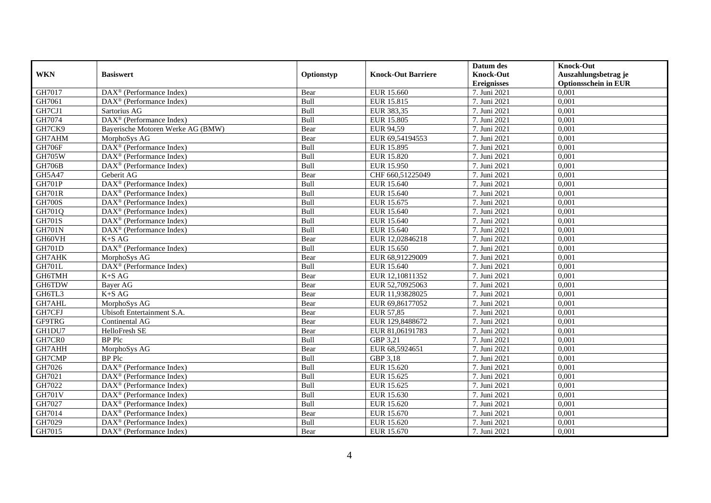|               |                                                              |            |                           | Datum des          | <b>Knock-Out</b>            |
|---------------|--------------------------------------------------------------|------------|---------------------------|--------------------|-----------------------------|
| <b>WKN</b>    | <b>Basiswert</b>                                             | Optionstyp | <b>Knock-Out Barriere</b> | <b>Knock-Out</b>   | Auszahlungsbetrag je        |
|               |                                                              |            |                           | <b>Ereignisses</b> | <b>Optionsschein in EUR</b> |
| GH7017        | $\overline{\text{DAX}^{\otimes}}$ (Performance Index)        | Bear       | EUR 15.660                | 7. Juni 2021       | 0,001                       |
| GH7061        | $DAX^{\circledR}$ (Performance Index)                        | Bull       | EUR 15.815                | 7. Juni 2021       | 0,001                       |
| GH7CJ1        | Sartorius AG                                                 | Bull       | EUR 383,35                | 7. Juni 2021       | 0,001                       |
| GH7074        | $DAX^{\circledast}$ (Performance Index)                      | Bull       | EUR 15.805                | 7. Juni 2021       | 0,001                       |
| GH7CK9        | Bayerische Motoren Werke AG (BMW)                            | Bear       | EUR 94,59                 | 7. Juni 2021       | 0,001                       |
| GH7AHM        | MorphoSys AG                                                 | Bear       | EUR 69,54194553           | 7. Juni 2021       | 0,001                       |
| <b>GH706F</b> | $DAX^{\circledR}$ (Performance Index)                        | Bull       | EUR 15.895                | 7. Juni 2021       | 0,001                       |
| <b>GH705W</b> | $DAX^{\circledast}$ (Performance Index)                      | Bull       | <b>EUR 15.820</b>         | 7. Juni 2021       | 0,001                       |
| <b>GH706B</b> | $DAX^{\circledast}$ (Performance Index)                      | Bull       | EUR 15.950                | 7. Juni 2021       | 0,001                       |
| GH5A47        | Geberit AG                                                   | Bear       | CHF 660,51225049          | 7. Juni 2021       | 0,001                       |
| <b>GH701P</b> | DAX <sup>®</sup> (Performance Index)                         | Bull       | EUR 15.640                | 7. Juni 2021       | 0,001                       |
| <b>GH701R</b> | DAX <sup>®</sup> (Performance Index)                         | Bull       | EUR 15.640                | 7. Juni 2021       | 0,001                       |
| <b>GH700S</b> | $\overline{\text{DAX}}^{\textcircled{}}$ (Performance Index) | Bull       | EUR 15.675                | 7. Juni 2021       | 0,001                       |
| GH701Q        | $DAX^{\circledcirc}$ (Performance Index)                     | Bull       | EUR 15.640                | 7. Juni 2021       | 0,001                       |
| <b>GH701S</b> | DAX <sup>®</sup> (Performance Index)                         | Bull       | EUR 15.640                | 7. Juni 2021       | 0,001                       |
| <b>GH701N</b> | DAX <sup>®</sup> (Performance Index)                         | Bull       | EUR 15.640                | 7. Juni 2021       | 0,001                       |
| GH60VH        | $K+SAG$                                                      | Bear       | EUR 12,02846218           | 7. Juni 2021       | 0,001                       |
| <b>GH701D</b> | DAX <sup>®</sup> (Performance Index)                         | Bull       | EUR 15.650                | 7. Juni 2021       | 0,001                       |
| GH7AHK        | MorphoSys AG                                                 | Bear       | EUR 68,91229009           | 7. Juni 2021       | 0,001                       |
| <b>GH701L</b> | DAX <sup>®</sup> (Performance Index)                         | Bull       | EUR 15.640                | 7. Juni 2021       | 0,001                       |
| GH6TMH        | $K+SAG$                                                      | Bear       | EUR 12,10811352           | 7. Juni 2021       | 0.001                       |
| GH6TDW        | Bayer AG                                                     | Bear       | EUR 52,70925063           | 7. Juni 2021       | 0,001                       |
| GH6TL3        | $K+SAG$                                                      | Bear       | EUR 11,93828025           | 7. Juni 2021       | 0,001                       |
| GH7AHL        | MorphoSys AG                                                 | Bear       | EUR 69,86177052           | 7. Juni 2021       | 0,001                       |
| GH7CFJ        | Ubisoft Entertainment S.A.                                   | Bear       | <b>EUR 57,85</b>          | 7. Juni 2021       | 0,001                       |
| GF9TRG        | Continental AG                                               | Bear       | EUR 129,8488672           | 7. Juni 2021       | 0,001                       |
| GH1DU7        | HelloFresh SE                                                | Bear       | EUR 81,06191783           | 7. Juni 2021       | 0,001                       |
| GH7CR0        | <b>BP</b> Plc                                                | Bull       | GBP 3,21                  | 7. Juni 2021       | 0,001                       |
| GH7AHH        | MorphoSys AG                                                 | Bear       | EUR 68,5924651            | 7. Juni 2021       | 0,001                       |
| GH7CMP        | <b>BP</b> Plc                                                | Bull       | GBP 3,18                  | 7. Juni 2021       | 0.001                       |
| GH7026        | $DAX^{\circledR}$ (Performance Index)                        | Bull       | EUR 15.620                | 7. Juni 2021       | 0,001                       |
| GH7021        | $DAX^{\circledR}$ (Performance Index)                        | Bull       | EUR 15.625                | 7. Juni 2021       | 0,001                       |
| GH7022        | $DAX^{\circledR}$ (Performance Index)                        | Bull       | EUR 15.625                | 7. Juni 2021       | 0,001                       |
| <b>GH701V</b> | $\overline{\text{DAX}}^{\textcircled{}}$ (Performance Index) | Bull       | EUR 15.630                | 7. Juni 2021       | 0,001                       |
| GH7027        | DAX <sup>®</sup> (Performance Index)                         | Bull       | EUR 15.620                | 7. Juni 2021       | 0,001                       |
| GH7014        | $DAX^{\circledcirc}$ (Performance Index)                     | Bear       | EUR 15.670                | 7. Juni 2021       | 0,001                       |
| GH7029        | $DAX^{\circledast}$ (Performance Index)                      | Bull       | EUR 15.620                | 7. Juni 2021       | 0,001                       |
| GH7015        | DAX <sup>®</sup> (Performance Index)                         | Bear       | EUR 15.670                | 7. Juni 2021       | 0,001                       |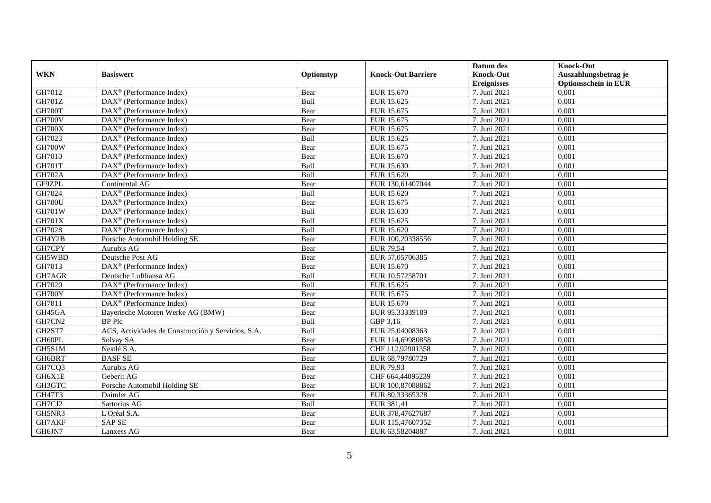|               |                                                       |            |                           | Datum des          | <b>Knock-Out</b>            |
|---------------|-------------------------------------------------------|------------|---------------------------|--------------------|-----------------------------|
| <b>WKN</b>    | <b>Basiswert</b>                                      | Optionstyp | <b>Knock-Out Barriere</b> | <b>Knock-Out</b>   | Auszahlungsbetrag je        |
|               |                                                       |            |                           | <b>Ereignisses</b> | <b>Optionsschein in EUR</b> |
| GH7012        | DAX <sup>®</sup> (Performance Index)                  | Bear       | EUR 15.670                | 7. Juni 2021       | 0,001                       |
| <b>GH701Z</b> | $\overline{\text{DAX}^{\otimes}}$ (Performance Index) | Bull       | EUR 15.625                | 7. Juni 2021       | 0,001                       |
| GH700T        | $DAX^{\circledast}$ (Performance Index)               | Bear       | EUR 15.675                | 7. Juni 2021       | 0,001                       |
| <b>GH700V</b> | $DAX^{\circledast}$ (Performance Index)               | Bear       | EUR 15.675                | 7. Juni 2021       | 0.001                       |
| GH700X        | $\overline{\text{DAX}^{\otimes}}$ (Performance Index) | Bear       | EUR 15.675                | 7. Juni 2021       | 0,001                       |
| GH7023        | $DAX^{\circledR}$ (Performance Index)                 | Bull       | EUR 15.625                | 7. Juni 2021       | 0,001                       |
| GH700W        | $DAX^{\circledR}$ (Performance Index)                 | Bear       | EUR 15.675                | 7. Juni 2021       | 0,001                       |
| GH7010        | DAX <sup>®</sup> (Performance Index)                  | Bear       | EUR 15.670                | 7. Juni 2021       | 0,001                       |
| <b>GH701T</b> | $DAX^{\circledast}$ (Performance Index)               | Bull       | EUR 15.630                | 7. Juni 2021       | 0,001                       |
| <b>GH702A</b> | $DAX^{\circledast}$ (Performance Index)               | Bull       | EUR 15.620                | 7. Juni 2021       | 0,001                       |
| GF9ZPL        | Continental AG                                        | Bear       | EUR 130,61407044          | 7. Juni 2021       | 0,001                       |
| GH7024        | DAX <sup>®</sup> (Performance Index)                  | Bull       | EUR 15.620                | 7. Juni 2021       | 0,001                       |
| <b>GH700U</b> | DAX <sup>®</sup> (Performance Index)                  | Bear       | EUR 15.675                | 7. Juni 2021       | 0,001                       |
| <b>GH701W</b> | $DAX^{\circledR}$ (Performance Index)                 | Bull       | EUR 15.630                | 7. Juni 2021       | 0,001                       |
| <b>GH701X</b> | DAX <sup>®</sup> (Performance Index)                  | Bull       | EUR 15.625                | 7. Juni 2021       | 0,001                       |
| GH7028        | DAX <sup>®</sup> (Performance Index)                  | Bull       | EUR 15.620                | 7. Juni 2021       | 0,001                       |
| GH4Y2B        | Porsche Automobil Holding SE                          | Bear       | EUR 100,20338556          | 7. Juni 2021       | 0,001                       |
| GH7CPY        | Aurubis AG                                            | Bear       | <b>EUR 79.54</b>          | 7. Juni 2021       | 0.001                       |
| GH5WBD        | Deutsche Post AG                                      | Bear       | EUR 57,05706385           | 7. Juni 2021       | 0,001                       |
| GH7013        | DAX <sup>®</sup> (Performance Index)                  | Bear       | EUR 15.670                | 7. Juni 2021       | 0,001                       |
| GH7AGR        | Deutsche Lufthansa AG                                 | Bull       | EUR 10,57258701           | 7. Juni 2021       | 0.001                       |
| GH7020        | $\overline{\text{DAX}^{\otimes}}$ (Performance Index) | Bull       | EUR 15.625                | 7. Juni 2021       | 0,001                       |
| GH700Y        | DAX <sup>®</sup> (Performance Index)                  | Bear       | EUR 15.675                | 7. Juni 2021       | 0,001                       |
| GH7011        | DAX <sup>®</sup> (Performance Index)                  | Bear       | EUR 15.670                | 7. Juni 2021       | 0,001                       |
| GH45GA        | Bayerische Motoren Werke AG (BMW)                     | Bear       | EUR 95,33339189           | 7. Juni 2021       | 0.001                       |
| GH7CN2        | <b>BP</b> Plc                                         | Bull       | GBP 3,16                  | 7. Juni 2021       | 0,001                       |
| GH2ST7        | ACS, Actividades de Construcción y Servicios, S.A.    | Bull       | EUR 25,04008363           | 7. Juni 2021       | 0,001                       |
| GH60PL        | Solvay SA                                             | Bear       | EUR 114,69980858          | 7. Juni 2021       | 0,001                       |
| GH5S1M        | Nestlé S.A.                                           | Bear       | CHF 112,92901358          | 7. Juni 2021       | 0,001                       |
| GH6BRT        | <b>BASF SE</b>                                        | Bear       | EUR 68,79780729           | 7. Juni 2021       | 0,001                       |
| GH7CQ3        | Aurubis AG                                            | Bear       | EUR 79,93                 | 7. Juni 2021       | 0,001                       |
| GH6X1E        | Geberit AG                                            | Bear       | CHF 664,44095239          | 7. Juni 2021       | 0.001                       |
| GH3GTC        | Porsche Automobil Holding SE                          | Bear       | EUR 100,87088862          | 7. Juni 2021       | 0,001                       |
| GH47T3        | Daimler AG                                            | Bear       | EUR 80,33365328           | 7. Juni 2021       | 0,001                       |
| GH7CJ2        | Sartorius AG                                          | Bull       | EUR 381,41                | 7. Juni 2021       | 0,001                       |
| GH5NR3        | L'Oréal S.A.                                          | Bear       | EUR 378,47627687          | 7. Juni 2021       | 0,001                       |
| GH7AKF        | <b>SAP SE</b>                                         | Bear       | EUR 115,47607352          | 7. Juni 2021       | 0,001                       |
| GH6JN7        | Lanxess AG                                            | Bear       | EUR 63,58204887           | 7. Juni 2021       | 0,001                       |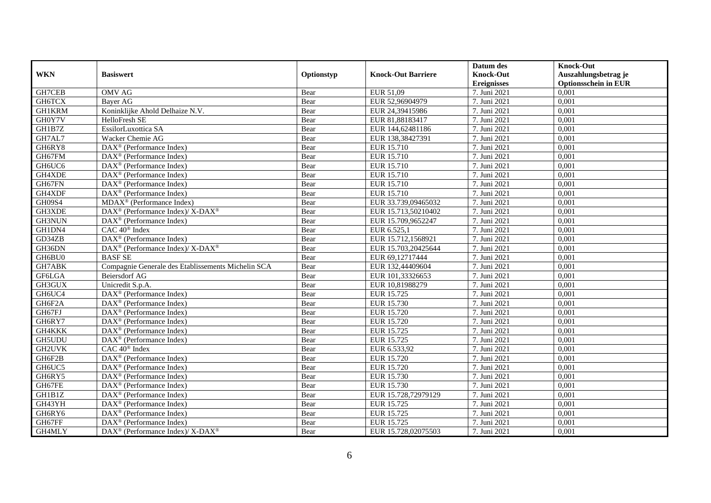|               |                                                                           |            |                           | Datum des          | <b>Knock-Out</b>            |
|---------------|---------------------------------------------------------------------------|------------|---------------------------|--------------------|-----------------------------|
| <b>WKN</b>    | <b>Basiswert</b>                                                          | Optionstyp | <b>Knock-Out Barriere</b> | <b>Knock-Out</b>   | Auszahlungsbetrag je        |
|               |                                                                           |            |                           | <b>Ereignisses</b> | <b>Optionsschein in EUR</b> |
| GH7CEB        | <b>OMV AG</b>                                                             | Bear       | EUR 51,09                 | 7. Juni 2021       | 0,001                       |
| <b>GH6TCX</b> | Bayer AG                                                                  | Bear       | EUR 52,96904979           | 7. Juni 2021       | 0,001                       |
| <b>GH1KRM</b> | Koninklijke Ahold Delhaize N.V.                                           | Bear       | EUR 24,39415986           | 7. Juni 2021       | 0,001                       |
| GH0Y7V        | HelloFresh SE                                                             | Bear       | EUR 81,88183417           | 7. Juni 2021       | 0.001                       |
| GH1B7Z        | EssilorLuxottica SA                                                       | Bear       | EUR 144,62481186          | 7. Juni 2021       | 0,001                       |
| GH7AL7        | Wacker Chemie AG                                                          | Bear       | EUR 138,38427391          | 7. Juni 2021       | 0,001                       |
| GH6RY8        | $DAX^{\circledast}$ (Performance Index)                                   | Bear       | EUR 15.710                | 7. Juni 2021       | 0,001                       |
| GH67FM        | $\overline{\text{DAX}^{\otimes}}$ (Performance Index)                     | Bear       | EUR 15.710                | 7. Juni 2021       | 0,001                       |
| GH6UC6        | $\text{DAX}^{\circledast}$ (Performance Index)                            | Bear       | EUR 15.710                | 7. Juni 2021       | 0,001                       |
| GH4XDE        | $\text{DAX}^{\circledast}$ (Performance Index)                            | Bear       | EUR 15.710                | 7. Juni 2021       | 0,001                       |
| GH67FN        | $\overline{\text{DAX}^{\otimes}}$ (Performance Index)                     | Bear       | EUR 15.710                | 7. Juni 2021       | 0.001                       |
| GH4XDF        | $\overline{\text{DAX}}^{\textcirc}$ (Performance Index)                   | Bear       | EUR 15.710                | 7. Juni 2021       | 0,001                       |
| <b>GH09S4</b> | MDAX <sup>®</sup> (Performance Index)                                     | Bear       | EUR 33.739,09465032       | 7. Juni 2021       | 0,001                       |
| GH3XDE        | DAX <sup>®</sup> (Performance Index)/ X-DAX <sup>®</sup>                  | Bear       | EUR 15.713,50210402       | 7. Juni 2021       | 0,001                       |
| GH3NUN        | $\text{DAX}^{\circledast}$ (Performance Index)                            | Bear       | EUR 15.709,9652247        | 7. Juni 2021       | 0,001                       |
| GH1DN4        | CAC 40 <sup>®</sup> Index                                                 | Bear       | EUR 6.525,1               | 7. Juni 2021       | 0,001                       |
| GD34ZB        | $\overline{\text{DAX}^{\otimes}}$ (Performance Index)                     | Bear       | EUR 15.712,1568921        | 7. Juni 2021       | 0,001                       |
| GH36DN        | $DAX^{\circledast}$ (Performance Index)/ $\overline{X-DAX^{\circledast}}$ | Bear       | EUR 15.703.20425644       | 7. Juni 2021       | 0.001                       |
| GH6BU0        | <b>BASFSE</b>                                                             | Bear       | EUR 69,12717444           | 7. Juni 2021       | 0,001                       |
| GH7ABK        | Compagnie Generale des Etablissements Michelin SCA                        | Bear       | EUR 132,44409604          | 7. Juni 2021       | 0,001                       |
| GF6LGA        | Beiersdorf AG                                                             | Bear       | EUR 101,33326653          | 7. Juni 2021       | 0.001                       |
| GH3GUX        | Unicredit S.p.A.                                                          | Bear       | EUR 10,81988279           | 7. Juni 2021       | 0,001                       |
| GH6UC4        | DAX <sup>®</sup> (Performance Index)                                      | Bear       | EUR 15.725                | 7. Juni 2021       | 0,001                       |
| GH6F2A        | DAX <sup>®</sup> (Performance Index)                                      | Bear       | <b>EUR 15.730</b>         | 7. Juni 2021       | 0,001                       |
| GH67FJ        | $DAX^{\circledR}$ (Performance Index)                                     | Bear       | EUR 15.720                | 7. Juni 2021       | 0.001                       |
| GH6RY7        | $\text{DAX}^{\otimes}$ (Performance Index)                                | Bear       | EUR 15.720                | 7. Juni 2021       | 0,001                       |
| GH4KKK        | DAX <sup>®</sup> (Performance Index)                                      | Bear       | EUR 15.725                | 7. Juni 2021       | 0,001                       |
| GH5UDU        | $\overline{\text{DAX}^{\otimes}}$ (Performance Index)                     | Bear       | EUR 15.725                | 7. Juni 2021       | 0,001                       |
| GH2UVK        | CAC 40 <sup>®</sup> Index                                                 | Bear       | EUR 6.533,92              | 7. Juni 2021       | 0.001                       |
| GH6F2B        | $DAX^{\circledcirc}$ (Performance Index)                                  | Bear       | EUR 15.720                | 7. Juni 2021       | 0,001                       |
| GH6UC5        | $\text{DAX}^{\circledast}$ (Performance Index)                            | Bear       | EUR 15.720                | 7. Juni 2021       | 0,001                       |
| GH6RY5        | $DAX^{\circledR}$ (Performance Index)                                     | Bear       | EUR 15.730                | 7. Juni 2021       | 0.001                       |
| GH67FE        | $DAX^{\circledast}$ (Performance Index)                                   | Bear       | EUR 15.730                | 7. Juni 2021       | 0,001                       |
| GH1B1Z        | $\overline{\text{DAX}}^{\textcirc}$ (Performance Index)                   | Bear       | EUR 15.728,72979129       | 7. Juni 2021       | 0,001                       |
| GH43YH        | DAX <sup>®</sup> (Performance Index)                                      | Bear       | EUR 15.725                | 7. Juni 2021       | 0,001                       |
| GH6RY6        | DAX <sup>®</sup> (Performance Index)                                      | Bear       | EUR 15.725                | 7. Juni 2021       | 0,001                       |
| GH67FF        | $DAX^{\circledast}$ (Performance Index)                                   | Bear       | EUR 15.725                | 7. Juni 2021       | 0,001                       |
| GH4MLY        | DAX <sup>®</sup> (Performance Index)/ X-DAX <sup>®</sup>                  | Bear       | EUR 15.728,02075503       | 7. Juni 2021       | 0,001                       |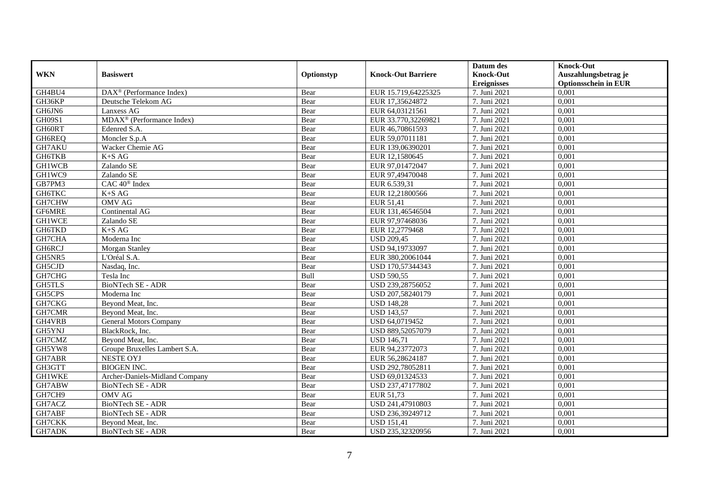|               |                                         |            |                           | Datum des          | <b>Knock-Out</b>            |
|---------------|-----------------------------------------|------------|---------------------------|--------------------|-----------------------------|
| <b>WKN</b>    | <b>Basiswert</b>                        | Optionstyp | <b>Knock-Out Barriere</b> | <b>Knock-Out</b>   | Auszahlungsbetrag je        |
|               |                                         |            |                           | <b>Ereignisses</b> | <b>Optionsschein in EUR</b> |
| GH4BU4        | $DAX^{\circledast}$ (Performance Index) | Bear       | EUR 15.719,64225325       | 7. Juni 2021       | 0,001                       |
| GH36KP        | Deutsche Telekom AG                     | Bear       | EUR 17,35624872           | 7. Juni 2021       | 0,001                       |
| GH6JN6        | Lanxess AG                              | Bear       | EUR 64,03121561           | 7. Juni 2021       | 0,001                       |
| GH09S1        | MDAX <sup>®</sup> (Performance Index)   | Bear       | EUR 33.770,32269821       | 7. Juni 2021       | 0,001                       |
| GH60RT        | Edenred S.A.                            | Bear       | EUR 46,70861593           | 7. Juni 2021       | 0,001                       |
| GH6REQ        | Moncler S.p.A                           | Bear       | EUR 59,07011181           | 7. Juni 2021       | 0,001                       |
| GH7AKU        | Wacker Chemie AG                        | Bear       | EUR 139,06390201          | 7. Juni 2021       | 0,001                       |
| <b>GH6TKB</b> | $K+SAG$                                 | Bear       | EUR 12,1580645            | 7. Juni 2021       | 0,001                       |
| <b>GH1WCB</b> | Zalando SE                              | Bear       | EUR 97,01472047           | 7. Juni 2021       | 0,001                       |
| GH1WC9        | Zalando SE                              | Bear       | EUR 97,49470048           | 7. Juni 2021       | 0,001                       |
| GB7PM3        | $CAC 40$ <sup>®</sup> Index             | Bear       | EUR 6.539,31              | 7. Juni 2021       | 0,001                       |
| GH6TKC        | $K+SAG$                                 | Bear       | EUR 12,21800566           | 7. Juni 2021       | 0,001                       |
| GH7CHW        | <b>OMV AG</b>                           | Bear       | EUR 51,41                 | 7. Juni 2021       | 0,001                       |
| GF6MRE        | Continental AG                          | Bear       | EUR 131,46546504          | 7. Juni 2021       | 0,001                       |
| GH1WCE        | Zalando SE                              | Bear       | EUR 97,97468036           | 7. Juni 2021       | 0,001                       |
| GH6TKD        | $K+SAG$                                 | Bear       | EUR 12,2779468            | 7. Juni 2021       | 0,001                       |
| GH7CHA        | Moderna Inc                             | Bear       | <b>USD 209,45</b>         | 7. Juni 2021       | 0,001                       |
| GH6RCJ        | Morgan Stanley                          | Bear       | USD 94.19733097           | 7. Juni 2021       | 0.001                       |
| GH5NR5        | L'Oréal S.A.                            | Bear       | EUR 380,20061044          | 7. Juni 2021       | 0,001                       |
| GH5CJD        | Nasdaq, Inc.                            | Bear       | USD 170,57344343          | 7. Juni 2021       | 0,001                       |
| GH7CHG        | Tesla Inc                               | Bull       | <b>USD 590,55</b>         | 7. Juni 2021       | 0,001                       |
| <b>GH5TLS</b> | BioNTech SE - ADR                       | Bear       | USD 239,28756052          | 7. Juni 2021       | 0,001                       |
| GH5CPS        | Moderna Inc                             | Bear       | USD 207,58240179          | 7. Juni 2021       | 0,001                       |
| GH7CKG        | Beyond Meat, Inc.                       | Bear       | <b>USD 148,28</b>         | 7. Juni 2021       | 0,001                       |
| GH7CMR        | Beyond Meat, Inc.                       | Bear       | <b>USD 143,57</b>         | 7. Juni 2021       | 0,001                       |
| GH4VRB        | General Motors Company                  | Bear       | USD 64,0719452            | 7. Juni 2021       | 0,001                       |
| GH5YNJ        | BlackRock, Inc.                         | Bear       | USD 889,52057079          | 7. Juni 2021       | 0,001                       |
| GH7CMZ        | Bevond Meat, Inc.                       | Bear       | <b>USD 146,71</b>         | 7. Juni 2021       | 0,001                       |
| GH5YW8        | Groupe Bruxelles Lambert S.A.           | Bear       | EUR 94,23772073           | 7. Juni 2021       | 0,001                       |
| GH7ABR        | <b>NESTE OYJ</b>                        | Bear       | EUR 56,28624187           | 7. Juni 2021       | 0,001                       |
| GH3GTT        | <b>BIOGEN INC.</b>                      | Bear       | USD 292,78052811          | 7. Juni 2021       | 0,001                       |
| <b>GH1WKE</b> | Archer-Daniels-Midland Company          | Bear       | USD 69,01324533           | 7. Juni 2021       | 0.001                       |
| GH7ABW        | BioNTech SE - ADR                       | Bear       | USD 237,47177802          | 7. Juni 2021       | 0,001                       |
| GH7CH9        | <b>OMV AG</b>                           | Bear       | EUR 51,73                 | 7. Juni 2021       | 0,001                       |
| GH7ACZ        | BioNTech SE - ADR                       | Bear       | USD 241,47910803          | 7. Juni 2021       | 0,001                       |
| GH7ABF        | BioNTech SE - ADR                       | Bear       | USD 236,39249712          | 7. Juni 2021       | 0,001                       |
| GH7CKK        | Beyond Meat, Inc.                       | Bear       | <b>USD 151,41</b>         | 7. Juni 2021       | 0,001                       |
| GH7ADK        | BioNTech SE - ADR                       | Bear       | USD 235,32320956          | 7. Juni 2021       | 0,001                       |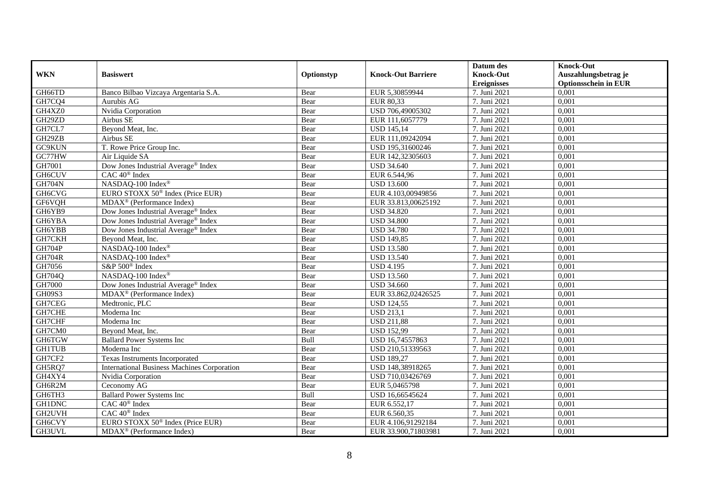|               |                                                    |            |                           | Datum des          | <b>Knock-Out</b>            |
|---------------|----------------------------------------------------|------------|---------------------------|--------------------|-----------------------------|
| <b>WKN</b>    | <b>Basiswert</b>                                   | Optionstyp | <b>Knock-Out Barriere</b> | <b>Knock-Out</b>   | Auszahlungsbetrag je        |
|               |                                                    |            |                           | <b>Ereignisses</b> | <b>Optionsschein in EUR</b> |
| GH66TD        | Banco Bilbao Vizcaya Argentaria S.A.               | Bear       | EUR 5,30859944            | 7. Juni 2021       | 0,001                       |
| GH7CQ4        | Aurubis AG                                         | Bear       | EUR 80,33                 | 7. Juni 2021       | 0,001                       |
| GH4XZ0        | Nvidia Corporation                                 | Bear       | USD 706,49005302          | 7. Juni 2021       | 0,001                       |
| GH29ZD        | Airbus SE                                          | Bear       | EUR 111,6057779           | 7. Juni 2021       | 0,001                       |
| GH7CL7        | Beyond Meat, Inc.                                  | Bear       | <b>USD 145,14</b>         | 7. Juni 2021       | 0,001                       |
| GH29ZB        | Airbus SE                                          | Bear       | EUR 111,09242094          | 7. Juni 2021       | 0,001                       |
| GC9KUN        | T. Rowe Price Group Inc.                           | Bear       | USD 195,31600246          | 7. Juni 2021       | 0,001                       |
| GC77HW        | Air Liquide SA                                     | Bear       | EUR 142,32305603          | 7. Juni 2021       | 0,001                       |
| GH7001        | Dow Jones Industrial Average® Index                | Bear       | <b>USD 34.640</b>         | 7. Juni 2021       | 0,001                       |
| <b>GH6CUV</b> | CAC 40 <sup>®</sup> Index                          | Bear       | EUR 6.544,96              | 7. Juni 2021       | 0,001                       |
| <b>GH704N</b> | NASDAQ-100 Index®                                  | Bear       | <b>USD 13.600</b>         | 7. Juni 2021       | 0,001                       |
| <b>GH6CVG</b> | EURO STOXX 50 <sup>®</sup> Index (Price EUR)       | Bear       | EUR 4.103,00949856        | 7. Juni 2021       | 0,001                       |
| GF6VQH        | $MDAX^{\circledR}$ (Performance Index)             | Bear       | EUR 33.813,00625192       | 7. Juni 2021       | 0,001                       |
| GH6YB9        | Dow Jones Industrial Average <sup>®</sup> Index    | Bear       | <b>USD 34.820</b>         | 7. Juni 2021       | 0,001                       |
| GH6YBA        | Dow Jones Industrial Average <sup>®</sup> Index    | Bear       | <b>USD 34.800</b>         | 7. Juni 2021       | 0,001                       |
| GH6YBB        | Dow Jones Industrial Average® Index                | Bear       | <b>USD 34.780</b>         | 7. Juni 2021       | 0,001                       |
| GH7CKH        | Beyond Meat, Inc.                                  | Bear       | <b>USD 149,85</b>         | 7. Juni 2021       | 0,001                       |
| <b>GH704P</b> | NASDAQ-100 Index®                                  | Bear       | <b>USD 13.580</b>         | 7. Juni 2021       | 0,001                       |
| <b>GH704R</b> | NASDAQ-100 Index®                                  | Bear       | <b>USD 13.540</b>         | 7. Juni 2021       | 0,001                       |
| GH7056        | S&P 500 <sup>®</sup> Index                         | Bear       | <b>USD 4.195</b>          | 7. Juni 2021       | 0,001                       |
| GH704Q        | NASDAQ-100 Index®                                  | Bear       | <b>USD 13.560</b>         | 7. Juni 2021       | 0.001                       |
| GH7000        | Dow Jones Industrial Average® Index                | Bear       | <b>USD 34.660</b>         | 7. Juni 2021       | 0,001                       |
| <b>GH09S3</b> | $MDAX^{\circledR}$ (Performance Index)             | Bear       | EUR 33.862,02426525       | 7. Juni 2021       | 0,001                       |
| GH7CEG        | Medtronic, PLC                                     | Bear       | <b>USD 124,55</b>         | 7. Juni 2021       | 0,001                       |
| GH7CHE        | Moderna Inc                                        | Bear       | <b>USD 213,1</b>          | 7. Juni 2021       | 0,001                       |
| GH7CHF        | Moderna Inc                                        | Bear       | <b>USD 211,88</b>         | 7. Juni 2021       | 0,001                       |
| GH7CM0        | Beyond Meat, Inc.                                  | Bear       | <b>USD 152,99</b>         | 7. Juni 2021       | 0,001                       |
| GH6TGW        | <b>Ballard Power Systems Inc</b>                   | Bull       | USD 16,74557863           | 7. Juni 2021       | 0,001                       |
| <b>GH1TUB</b> | Moderna Inc                                        | Bear       | USD 210,51339563          | 7. Juni 2021       | 0,001                       |
| GH7CF2        | Texas Instruments Incorporated                     | Bear       | <b>USD 189.27</b>         | 7. Juni 2021       | 0.001                       |
| GH5RQ7        | <b>International Business Machines Corporation</b> | Bear       | USD 148,38918265          | 7. Juni 2021       | 0,001                       |
| GH4XY4        | Nvidia Corporation                                 | Bear       | USD 710,03426769          | 7. Juni 2021       | 0,001                       |
| GH6R2M        | Ceconomy AG                                        | Bear       | EUR 5,0465798             | 7. Juni 2021       | 0,001                       |
| GH6TH3        | <b>Ballard Power Systems Inc</b>                   | Bull       | USD 16,66545624           | 7. Juni 2021       | 0,001                       |
| <b>GH1DNC</b> | CAC 40 <sup>®</sup> Index                          | Bear       | EUR 6.552,17              | 7. Juni 2021       | 0,001                       |
| GH2UVH        | CAC 40 <sup>®</sup> Index                          | Bear       | EUR 6.560,35              | 7. Juni 2021       | 0,001                       |
| GH6CVY        | EURO STOXX 50 <sup>®</sup> Index (Price EUR)       | Bear       | EUR 4.106,91292184        | 7. Juni 2021       | 0,001                       |
| GH3UVL        | MDAX <sup>®</sup> (Performance Index)              | Bear       | EUR 33.900,71803981       | 7. Juni 2021       | 0,001                       |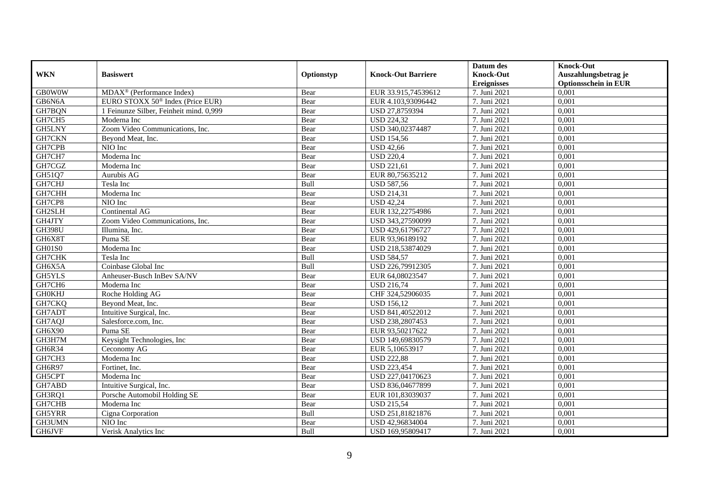|               |                                              |            |                           | Datum des          | <b>Knock-Out</b>            |
|---------------|----------------------------------------------|------------|---------------------------|--------------------|-----------------------------|
| <b>WKN</b>    | <b>Basiswert</b>                             | Optionstyp | <b>Knock-Out Barriere</b> | <b>Knock-Out</b>   | Auszahlungsbetrag je        |
|               |                                              |            |                           | <b>Ereignisses</b> | <b>Optionsschein in EUR</b> |
| <b>GB0W0W</b> | $MDAX^{\circledR}$ (Performance Index)       | Bear       | EUR 33.915,74539612       | 7. Juni 2021       | 0,001                       |
| GB6N6A        | EURO STOXX 50 <sup>®</sup> Index (Price EUR) | Bear       | EUR 4.103,93096442        | 7. Juni 2021       | 0,001                       |
| GH7BQN        | 1 Feinunze Silber, Feinheit mind. 0,999      | Bear       | USD 27,8759394            | 7. Juni 2021       | 0,001                       |
| GH7CH5        | Moderna Inc                                  | Bear       | <b>USD 224,32</b>         | 7. Juni 2021       | 0,001                       |
| <b>GH5LNY</b> | Zoom Video Communications, Inc.              | Bear       | USD 340,02374487          | 7. Juni 2021       | 0,001                       |
| GH7CKN        | Beyond Meat, Inc.                            | Bear       | <b>USD 154,56</b>         | 7. Juni 2021       | 0,001                       |
| GH7CPB        | NIO Inc                                      | Bear       | <b>USD 42,66</b>          | 7. Juni 2021       | 0,001                       |
| GH7CH7        | Moderna Inc                                  | Bear       | <b>USD 220,4</b>          | 7. Juni 2021       | 0,001                       |
| GH7CGZ        | Moderna Inc                                  | Bear       | <b>USD 221,61</b>         | 7. Juni 2021       | 0,001                       |
| GH51Q7        | Aurubis AG                                   | Bear       | EUR 80,75635212           | 7. Juni 2021       | 0,001                       |
| GH7CHJ        | Tesla Inc                                    | Bull       | <b>USD 587,56</b>         | 7. Juni 2021       | 0,001                       |
| GH7CHH        | Moderna Inc                                  | Bear       | <b>USD 214,31</b>         | 7. Juni 2021       | 0,001                       |
| GH7CP8        | NIO Inc                                      | Bear       | <b>USD 42,24</b>          | 7. Juni 2021       | 0,001                       |
| GH2SLH        | Continental AG                               | Bear       | EUR 132,22754986          | 7. Juni 2021       | 0,001                       |
| GH4JTY        | Zoom Video Communications, Inc.              | Bear       | USD 343,27590099          | 7. Juni 2021       | 0,001                       |
| <b>GH398U</b> | Illumina, Inc.                               | Bear       | USD 429,61796727          | 7. Juni 2021       | 0,001                       |
| GH6X8T        | Puma SE                                      | Bear       | EUR 93,96189192           | 7. Juni 2021       | 0,001                       |
| GH01S0        | Moderna Inc                                  | Bear       | USD 218,53874029          | 7. Juni 2021       | 0,001                       |
| GH7CHK        | Tesla Inc                                    | Bull       | <b>USD 584,57</b>         | 7. Juni 2021       | 0,001                       |
| GH6X5A        | Coinbase Global Inc                          | Bull       | USD 226,79912305          | 7. Juni 2021       | 0,001                       |
| GH5YLS        | Anheuser-Busch InBev SA/NV                   | Bear       | EUR 64,08023547           | 7. Juni 2021       | 0.001                       |
| GH7CH6        | Moderna Inc                                  | Bear       | <b>USD 216,74</b>         | 7. Juni 2021       | 0.001                       |
| <b>GH0KHJ</b> | Roche Holding AG                             | Bear       | CHF 324,52906035          | 7. Juni 2021       | 0,001                       |
| GH7CKQ        | Beyond Meat, Inc.                            | Bear       | <b>USD 156,12</b>         | 7. Juni 2021       | 0,001                       |
| GH7ADT        | Intuitive Surgical, Inc.                     | Bear       | USD 841,40522012          | 7. Juni 2021       | 0,001                       |
| GH7AQJ        | Salesforce.com, Inc.                         | Bear       | USD 238,2807453           | 7. Juni 2021       | 0,001                       |
| GH6X90        | Puma SE                                      | Bear       | EUR 93,50217622           | 7. Juni 2021       | 0,001                       |
| GH3H7M        | Keysight Technologies, Inc                   | Bear       | USD 149,69830579          | 7. Juni 2021       | 0,001                       |
| GH6R34        | Ceconomy AG                                  | Bear       | EUR 5,10653917            | 7. Juni 2021       | 0,001                       |
| GH7CH3        | Moderna Inc                                  | Bear       | <b>USD 222,88</b>         | 7. Juni 2021       | 0.001                       |
| GH6R97        | Fortinet, Inc.                               | Bear       | <b>USD 223,454</b>        | 7. Juni 2021       | 0,001                       |
| GH5CPT        | Moderna Inc                                  | Bear       | USD 227,04170623          | 7. Juni 2021       | 0,001                       |
| GH7ABD        | Intuitive Surgical, Inc.                     | Bear       | USD 836,04677899          | 7. Juni 2021       | 0,001                       |
| GH3RQ1        | Porsche Automobil Holding SE                 | Bear       | EUR 101,83039037          | 7. Juni 2021       | 0,001                       |
| GH7CHB        | Moderna Inc                                  | Bear       | <b>USD 215,54</b>         | 7. Juni 2021       | 0,001                       |
| GH5YRR        | Cigna Corporation                            | Bull       | USD 251,81821876          | 7. Juni 2021       | 0,001                       |
| GH3UMN        | NIO Inc                                      | Bear       | USD 42,96834004           | 7. Juni 2021       | 0,001                       |
| GH6JVF        | Verisk Analytics Inc                         | Bull       | USD 169,95809417          | 7. Juni 2021       | 0,001                       |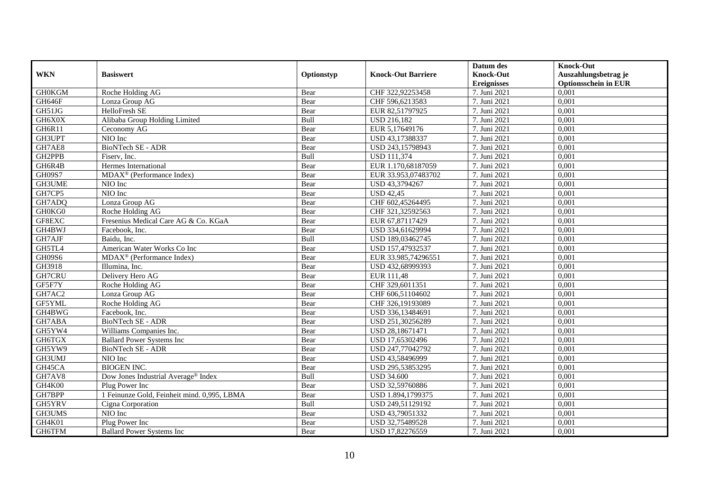|               |                                                            |            |                           | Datum des          | <b>Knock-Out</b>            |
|---------------|------------------------------------------------------------|------------|---------------------------|--------------------|-----------------------------|
| <b>WKN</b>    | <b>Basiswert</b>                                           | Optionstyp | <b>Knock-Out Barriere</b> | <b>Knock-Out</b>   | Auszahlungsbetrag je        |
|               |                                                            |            |                           | <b>Ereignisses</b> | <b>Optionsschein in EUR</b> |
| <b>GH0KGM</b> | Roche Holding AG                                           | Bear       | CHF 322,92253458          | 7. Juni 2021       | 0,001                       |
| GH646F        | Lonza Group AG                                             | Bear       | CHF 596,6213583           | 7. Juni 2021       | 0,001                       |
| GH51JG        | HelloFresh SE                                              | Bear       | EUR 82,51797925           | 7. Juni 2021       | 0,001                       |
| GH6X0X        | Alibaba Group Holding Limited                              | Bull       | <b>USD 216,182</b>        | 7. Juni 2021       | 0,001                       |
| GH6R11        | Ceconomy AG                                                | Bear       | EUR 5,17649176            | 7. Juni 2021       | 0,001                       |
| GH3UPT        | NIO Inc                                                    | Bear       | USD 43,17388337           | 7. Juni 2021       | 0,001                       |
| GH7AE8        | <b>BioNTech SE - ADR</b>                                   | Bear       | USD 243,15798943          | 7. Juni 2021       | 0,001                       |
| GH2PPB        | Fisery. Inc.                                               | Bull       | <b>USD 111,374</b>        | 7. Juni 2021       | 0,001                       |
| GH6R4B        | Hermes International                                       | Bear       | EUR 1.170,68187059        | 7. Juni 2021       | 0,001                       |
| <b>GH09S7</b> | MDAX <sup>®</sup> (Performance Index)                      | Bear       | EUR 33.953,07483702       | 7. Juni 2021       | 0,001                       |
| GH3UME        | NIO Inc                                                    | Bear       | USD 43,3794267            | 7. Juni 2021       | 0,001                       |
| GH7CP5        | NIO Inc                                                    | Bear       | <b>USD 42,45</b>          | 7. Juni 2021       | 0,001                       |
| GH7ADQ        | Lonza Group AG                                             | Bear       | CHF 602,45264495          | 7. Juni 2021       | 0,001                       |
| GH0KG0        | Roche Holding AG                                           | Bear       | CHF 321,32592563          | 7. Juni 2021       | 0,001                       |
| GF8EXC        | Fresenius Medical Care AG & Co. KGaA                       | Bear       | EUR 67,87117429           | 7. Juni 2021       | 0,001                       |
| GH4BWJ        | Facebook, Inc.                                             | Bear       | USD 334,61629994          | 7. Juni 2021       | 0,001                       |
| GH7AJF        | Baidu, Inc.                                                | Bull       | USD 189,03462745          | 7. Juni 2021       | 0,001                       |
| GH5TL4        | American Water Works Co Inc                                | Bear       | USD 157,47932537          | 7. Juni 2021       | 0,001                       |
| GH09S6        | $\overline{\text{MD}}$ AX <sup>®</sup> (Performance Index) | Bear       | EUR 33.985,74296551       | 7. Juni 2021       | 0,001                       |
| GH3918        | Illumina, Inc.                                             | Bear       | USD 432,68999393          | 7. Juni 2021       | 0,001                       |
| GH7CRU        | Delivery Hero AG                                           | Bear       | EUR 111,48                | 7. Juni 2021       | 0.001                       |
| GF5F7Y        | Roche Holding AG                                           | Bear       | CHF 329,6011351           | 7. Juni 2021       | 0.001                       |
| GH7AC2        | Lonza Group AG                                             | Bear       | CHF 606,51104602          | 7. Juni 2021       | 0,001                       |
| GF5YML        | Roche Holding AG                                           | Bear       | CHF 326,19193089          | 7. Juni 2021       | 0,001                       |
| GH4BWG        | Facebook, Inc.                                             | Bear       | USD 336,13484691          | 7. Juni 2021       | 0,001                       |
| GH7ABA        | BioNTech SE - ADR                                          | Bear       | USD 251,30256289          | 7. Juni 2021       | 0,001                       |
| GH5YW4        | Williams Companies Inc.                                    | Bear       | USD 28,18671471           | 7. Juni 2021       | 0,001                       |
| GH6TGX        | <b>Ballard Power Systems Inc</b>                           | Bear       | USD 17,65302496           | 7. Juni 2021       | 0,001                       |
| GH5YW9        | BioNTech SE - ADR                                          | Bear       | USD 247,77042792          | 7. Juni 2021       | 0,001                       |
| GH3UMJ        | NIO Inc                                                    | Bear       | USD 43,58496999           | 7. Juni 2021       | 0.001                       |
| GH45CA        | <b>BIOGEN INC.</b>                                         | Bear       | USD 295,53853295          | 7. Juni 2021       | 0,001                       |
| GH7AV8        | Dow Jones Industrial Average <sup>®</sup> Index            | Bull       | <b>USD 34.600</b>         | 7. Juni 2021       | 0,001                       |
| GH4K00        | Plug Power Inc                                             | Bear       | USD 32,59760886           | 7. Juni 2021       | 0,001                       |
| GH7BPP        | 1 Feinunze Gold, Feinheit mind. 0,995, LBMA                | Bear       | USD 1.894,1799375         | 7. Juni 2021       | 0,001                       |
| GH5YRV        | Cigna Corporation                                          | Bull       | USD 249,51129192          | 7. Juni 2021       | 0,001                       |
| GH3UMS        | NIO Inc                                                    | Bear       | USD 43,79051332           | 7. Juni 2021       | 0,001                       |
| GH4K01        | Plug Power Inc                                             | Bear       | USD 32,75489528           | 7. Juni 2021       | 0,001                       |
| GH6TFM        | <b>Ballard Power Systems Inc</b>                           | Bear       | USD 17,82276559           | 7. Juni 2021       | 0,001                       |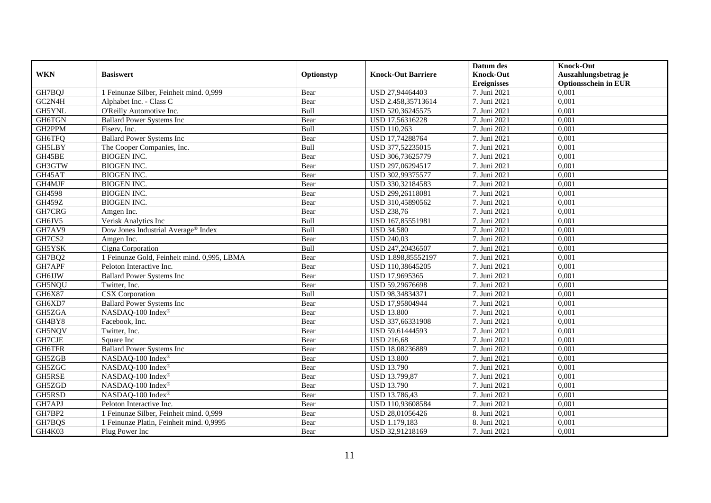|               |                                             |            |                           | Datum des          | <b>Knock-Out</b>            |
|---------------|---------------------------------------------|------------|---------------------------|--------------------|-----------------------------|
| <b>WKN</b>    | <b>Basiswert</b>                            | Optionstyp | <b>Knock-Out Barriere</b> | <b>Knock-Out</b>   | Auszahlungsbetrag je        |
|               |                                             |            |                           | <b>Ereignisses</b> | <b>Optionsschein in EUR</b> |
| GH7BQJ        | 1 Feinunze Silber, Feinheit mind. 0,999     | Bear       | USD 27,94464403           | 7. Juni 2021       | 0,001                       |
| GC2N4H        | Alphabet Inc. - Class C                     | Bear       | USD 2.458,35713614        | 7. Juni 2021       | 0,001                       |
| GH5YNL        | O'Reilly Automotive Inc.                    | Bull       | USD 520,36245575          | 7. Juni 2021       | 0,001                       |
| <b>GH6TGN</b> | <b>Ballard Power Systems Inc</b>            | Bear       | USD 17,56316228           | 7. Juni 2021       | 0,001                       |
| GH2PPM        | Fiserv, Inc.                                | Bull       | <b>USD 110,263</b>        | 7. Juni 2021       | 0.001                       |
| GH6TFQ        | <b>Ballard Power Systems Inc</b>            | Bear       | USD 17,74288764           | 7. Juni 2021       | 0,001                       |
| GH5LBY        | The Cooper Companies, Inc.                  | Bull       | USD 377,52235015          | 7. Juni 2021       | 0,001                       |
| GH45BE        | <b>BIOGEN INC.</b>                          | Bear       | USD 306,73625779          | 7. Juni 2021       | 0,001                       |
| GH3GTW        | <b>BIOGEN INC.</b>                          | Bear       | USD 297,06294517          | 7. Juni 2021       | 0,001                       |
| GH45AT        | <b>BIOGEN INC.</b>                          | Bear       | USD 302,99375577          | 7. Juni 2021       | 0,001                       |
| GH4MJF        | <b>BIOGEN INC.</b>                          | Bear       | USD 330,32184583          | 7. Juni 2021       | 0.001                       |
| GH4598        | <b>BIOGEN INC.</b>                          | Bear       | USD 299,26118081          | 7. Juni 2021       | 0,001                       |
| <b>GH459Z</b> | <b>BIOGEN INC.</b>                          | Bear       | USD 310,45890562          | 7. Juni 2021       | 0,001                       |
| GH7CRG        | Amgen Inc.                                  | Bear       | <b>USD 238,76</b>         | 7. Juni 2021       | 0,001                       |
| GH6JV5        | Verisk Analytics Inc                        | Bull       | USD 167,85551981          | 7. Juni 2021       | 0,001                       |
| GH7AV9        | Dow Jones Industrial Average® Index         | Bull       | <b>USD 34.580</b>         | 7. Juni 2021       | 0,001                       |
| GH7CS2        | Amgen Inc.                                  | Bear       | <b>USD 240,03</b>         | 7. Juni 2021       | 0,001                       |
| GH5YSK        | Cigna Corporation                           | Bull       | USD 247,20436507          | 7. Juni 2021       | 0,001                       |
| GH7BQ2        | 1 Feinunze Gold, Feinheit mind. 0,995, LBMA | Bear       | USD 1.898,85552197        | 7. Juni 2021       | 0,001                       |
| GH7APF        | Peloton Interactive Inc.                    | Bear       | USD 110,38645205          | 7. Juni 2021       | 0,001                       |
| GH6JJW        | <b>Ballard Power Systems Inc</b>            | Bear       | USD 17,9695365            | 7. Juni 2021       | 0,001                       |
| GH5NQU        | Twitter, Inc.                               | Bear       | USD 59,29676698           | 7. Juni 2021       | 0,001                       |
| GH6X87        | <b>CSX</b> Corporation                      | Bull       | USD 98,34834371           | 7. Juni 2021       | 0,001                       |
| GH6XD7        | <b>Ballard Power Systems Inc</b>            | Bear       | USD 17,95804944           | 7. Juni 2021       | 0,001                       |
| GH5ZGA        | NASDAO-100 Index®                           | Bear       | <b>USD 13.800</b>         | 7. Juni 2021       | 0.001                       |
| GH4BY8        | Facebook, Inc.                              | Bear       | USD 337,66331908          | 7. Juni 2021       | 0,001                       |
| GH5NQV        | Twitter, Inc.                               | Bear       | USD 59,61444593           | 7. Juni 2021       | 0,001                       |
| GH7CJE        | Square Inc                                  | Bear       | <b>USD 216,68</b>         | 7. Juni 2021       | 0,001                       |
| GH6TFR        | <b>Ballard Power Systems Inc</b>            | Bear       | USD 18,08236889           | 7. Juni 2021       | 0,001                       |
| GH5ZGB        | NASDAQ-100 Index®                           | Bear       | <b>USD 13.800</b>         | 7. Juni 2021       | 0,001                       |
| GH5ZGC        | NASDAQ-100 Index®                           | Bear       | <b>USD 13.790</b>         | 7. Juni 2021       | 0,001                       |
| GH5RSE        | NASDAQ-100 Index®                           | Bear       | USD 13.799,87             | 7. Juni 2021       | 0.001                       |
| GH5ZGD        | NASDAQ-100 Index®                           | Bear       | <b>USD 13.790</b>         | 7. Juni 2021       | 0,001                       |
| GH5RSD        | NASDAQ-100 Index®                           | Bear       | USD 13.786,43             | 7. Juni 2021       | 0,001                       |
| GH7APJ        | Peloton Interactive Inc.                    | Bear       | USD 110,93608584          | 7. Juni 2021       | 0,001                       |
| GH7BP2        | 1 Feinunze Silber, Feinheit mind. 0,999     | Bear       | USD 28,01056426           | 8. Juni 2021       | 0,001                       |
| GH7BQS        | 1 Feinunze Platin, Feinheit mind. 0,9995    | Bear       | USD 1.179,183             | 8. Juni 2021       | 0,001                       |
| GH4K03        | Plug Power Inc                              | Bear       | USD 32,91218169           | 7. Juni 2021       | 0,001                       |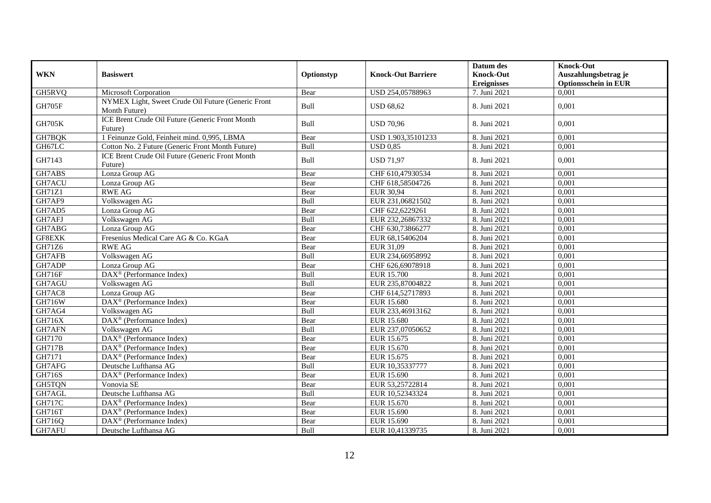|               |                                                                     |            |                           | Datum des          | <b>Knock-Out</b>            |
|---------------|---------------------------------------------------------------------|------------|---------------------------|--------------------|-----------------------------|
| <b>WKN</b>    | <b>Basiswert</b>                                                    | Optionstyp | <b>Knock-Out Barriere</b> | <b>Knock-Out</b>   | Auszahlungsbetrag je        |
|               |                                                                     |            |                           | <b>Ereignisses</b> | <b>Optionsschein in EUR</b> |
| GH5RVQ        | Microsoft Corporation                                               | Bear       | USD 254,05788963          | 7. Juni 2021       | 0.001                       |
| <b>GH705F</b> | NYMEX Light, Sweet Crude Oil Future (Generic Front<br>Month Future) | Bull       | <b>USD 68.62</b>          | 8. Juni 2021       | 0,001                       |
| <b>GH705K</b> | ICE Brent Crude Oil Future (Generic Front Month<br>Future)          | Bull       | <b>USD 70,96</b>          | 8. Juni 2021       | 0,001                       |
| GH7BQK        | 1 Feinunze Gold, Feinheit mind, 0.995, LBMA                         | Bear       | USD 1.903.35101233        | 8. Juni 2021       | 0.001                       |
| GH67LC        | Cotton No. 2 Future (Generic Front Month Future)                    | Bull       | <b>USD 0.85</b>           | 8. Juni 2021       | 0,001                       |
| GH7143        | ICE Brent Crude Oil Future (Generic Front Month<br>Future)          | Bull       | <b>USD 71,97</b>          | 8. Juni 2021       | 0.001                       |
| GH7ABS        | Lonza Group AG                                                      | Bear       | CHF 610,47930534          | 8. Juni 2021       | 0.001                       |
| GH7ACU        | Lonza Group AG                                                      | Bear       | CHF 618,58504726          | 8. Juni 2021       | 0,001                       |
| <b>GH71Z1</b> | <b>RWE AG</b>                                                       | Bear       | <b>EUR 30,94</b>          | 8. Juni 2021       | 0,001                       |
| GH7AF9        | Volkswagen AG                                                       | Bull       | EUR 231,06821502          | 8. Juni 2021       | 0,001                       |
| GH7AD5        | Lonza Group AG                                                      | Bear       | CHF 622,6229261           | 8. Juni 2021       | 0.001                       |
| GH7AFJ        | Volkswagen AG                                                       | Bull       | EUR 232,26867332          | 8. Juni 2021       | 0,001                       |
| GH7ABG        | Lonza Group AG                                                      | Bear       | CHF 630,73866277          | 8. Juni 2021       | 0,001                       |
| GF8EXK        | Fresenius Medical Care AG & Co. KGaA                                | Bear       | EUR 68,15406204           | 8. Juni 2021       | 0,001                       |
| GH71Z6        | <b>RWE AG</b>                                                       | Bear       | EUR 31,09                 | 8. Juni 2021       | 0.001                       |
| GH7AFB        | Volkswagen AG                                                       | Bull       | EUR 234,66958992          | 8. Juni 2021       | 0,001                       |
| GH7ADP        | Lonza Group AG                                                      | Bear       | CHF 626,69078918          | 8. Juni 2021       | 0,001                       |
| <b>GH716F</b> | DAX <sup>®</sup> (Performance Index)                                | Bull       | <b>EUR 15.700</b>         | 8. Juni 2021       | 0,001                       |
| GH7AGU        | Volkswagen AG                                                       | Bull       | EUR 235,87004822          | 8. Juni 2021       | 0,001                       |
| GH7AC8        | Lonza Group AG                                                      | Bear       | CHF 614,52717893          | 8. Juni 2021       | 0,001                       |
| <b>GH716W</b> | DAX <sup>®</sup> (Performance Index)                                | Bear       | <b>EUR 15.680</b>         | 8. Juni 2021       | 0,001                       |
| GH7AG4        | Volkswagen AG                                                       | Bull       | EUR 233,46913162          | 8. Juni 2021       | 0,001                       |
| GH716X        | DAX <sup>®</sup> (Performance Index)                                | Bear       | <b>EUR 15.680</b>         | 8. Juni 2021       | 0,001                       |
| GH7AFN        | Volkswagen AG                                                       | Bull       | EUR 237,07050652          | 8. Juni 2021       | 0,001                       |
| GH7170        | DAX <sup>®</sup> (Performance Index)                                | Bear       | EUR 15.675                | 8. Juni 2021       | 0,001                       |
| <b>GH717B</b> | DAX <sup>®</sup> (Performance Index)                                | Bear       | EUR 15.670                | 8. Juni 2021       | 0,001                       |
| GH7171        | $DAX^{\circledR}$ (Performance Index)                               | Bear       | EUR 15.675                | 8. Juni 2021       | 0,001                       |
| GH7AFG        | Deutsche Lufthansa AG                                               | Bull       | EUR 10,35337777           | 8. Juni 2021       | 0,001                       |
| <b>GH716S</b> | DAX <sup>®</sup> (Performance Index)                                | Bear       | EUR 15.690                | 8. Juni 2021       | 0,001                       |
| GH5TQN        | Vonovia SE                                                          | Bear       | EUR 53,25722814           | 8. Juni 2021       | 0,001                       |
| GH7AGL        | Deutsche Lufthansa AG                                               | Bull       | EUR 10,52343324           | 8. Juni 2021       | 0.001                       |
| <b>GH717C</b> | DAX <sup>®</sup> (Performance Index)                                | Bear       | EUR 15.670                | 8. Juni 2021       | 0,001                       |
| GH716T        | DAX <sup>®</sup> (Performance Index)                                | Bear       | EUR 15.690                | 8. Juni 2021       | 0,001                       |
| GH716Q        | DAX <sup>®</sup> (Performance Index)                                | Bear       | EUR 15.690                | 8. Juni 2021       | 0,001                       |
| GH7AFU        | Deutsche Lufthansa AG                                               | Bull       | EUR 10,41339735           | 8. Juni 2021       | 0,001                       |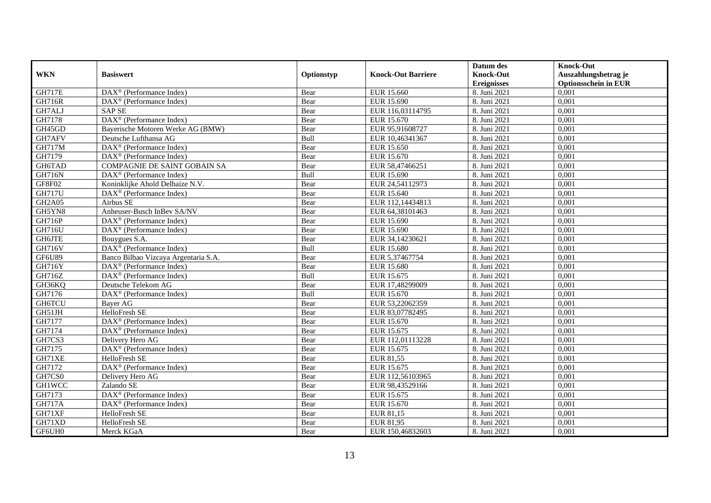|               |                                                              |            |                           | Datum des          | <b>Knock-Out</b>            |
|---------------|--------------------------------------------------------------|------------|---------------------------|--------------------|-----------------------------|
| <b>WKN</b>    | <b>Basiswert</b>                                             | Optionstyp | <b>Knock-Out Barriere</b> | <b>Knock-Out</b>   | Auszahlungsbetrag je        |
|               |                                                              |            |                           | <b>Ereignisses</b> | <b>Optionsschein in EUR</b> |
| <b>GH717E</b> | $\overline{\text{DAX}^{\otimes}}$ (Performance Index)        | Bear       | EUR 15.660                | 8. Juni 2021       | 0,001                       |
| GH716R        | $DAX^{\circledR}$ (Performance Index)                        | Bear       | EUR 15.690                | 8. Juni 2021       | 0,001                       |
| GH7ALJ        | <b>SAP SE</b>                                                | Bear       | EUR 116,03114795          | 8. Juni 2021       | 0,001                       |
| GH7178        | DAX <sup>®</sup> (Performance Index)                         | Bear       | EUR 15.670                | 8. Juni 2021       | 0,001                       |
| GH45GD        | Bayerische Motoren Werke AG (BMW)                            | Bear       | EUR 95,91608727           | 8. Juni 2021       | 0,001                       |
| GH7AFV        | Deutsche Lufthansa AG                                        | Bull       | EUR 10,46341367           | 8. Juni 2021       | 0,001                       |
| <b>GH717M</b> | $\overline{\text{DAX}}^{\textcircled{}}$ (Performance Index) | Bear       | EUR 15.650                | 8. Juni 2021       | 0,001                       |
| GH7179        | $DAX^{\circledR}$ (Performance Index)                        | Bear       | EUR 15.670                | 8. Juni 2021       | 0,001                       |
| GH6TAD        | COMPAGNIE DE SAINT GOBAIN SA                                 | Bear       | EUR 58,47466251           | 8. Juni 2021       | 0,001                       |
| <b>GH716N</b> | $DAX^{\circledast}$ (Performance Index)                      | Bull       | EUR 15.690                | 8. Juni 2021       | 0,001                       |
| GF8F02        | Koninklijke Ahold Delhaize N.V.                              | Bear       | EUR 24,54112973           | 8. Juni 2021       | 0,001                       |
| <b>GH717U</b> | DAX <sup>®</sup> (Performance Index)                         | Bear       | EUR 15.640                | 8. Juni 2021       | 0,001                       |
| <b>GH2A05</b> | Airbus SE                                                    | Bear       | EUR 112,14434813          | 8. Juni 2021       | 0.001                       |
| GH5YN8        | Anheuser-Busch InBev SA/NV                                   | Bear       | EUR 64,38101463           | 8. Juni 2021       | 0,001                       |
| GH716P        | DAX <sup>®</sup> (Performance Index)                         | Bear       | EUR 15.690                | 8. Juni 2021       | 0,001                       |
| GH716U        | DAX <sup>®</sup> (Performance Index)                         | Bear       | EUR 15.690                | 8. Juni 2021       | 0,001                       |
| <b>GH6JTE</b> | Bouygues S.A.                                                | Bear       | EUR 34,14230621           | 8. Juni 2021       | 0,001                       |
| GH716V        | $\overline{\text{DAX}^{\otimes}}$ (Performance Index)        | Bull       | EUR 15.680                | 8. Juni 2021       | 0.001                       |
| GF6U89        | Banco Bilbao Vizcaya Argentaria S.A.                         | Bear       | EUR 5,37467754            | 8. Juni 2021       | 0,001                       |
| GH716Y        | $DAX^{\circledast}$ (Performance Index)                      | Bear       | <b>EUR 15.680</b>         | 8. Juni 2021       | 0,001                       |
| GH716Z        | DAX <sup>®</sup> (Performance Index)                         | Bull       | EUR 15.675                | 8. Juni 2021       | 0,001                       |
| GH36KQ        | Deutsche Telekom AG                                          | Bear       | EUR 17,48299009           | 8. Juni 2021       | 0,001                       |
| GH7176        | $DAX^{\circledast}$ (Performance Index)                      | Bull       | EUR 15.670                | 8. Juni 2021       | 0,001                       |
| <b>GH6TCU</b> | <b>Bayer AG</b>                                              | Bear       | EUR 53,22062359           | 8. Juni 2021       | 0,001                       |
| GH51JH        | HelloFresh SE                                                | Bear       | EUR 83,07782495           | 8. Juni 2021       | 0,001                       |
| GH7177        | $DAX^{\circledast}$ (Performance Index)                      | Bear       | EUR 15.670                | 8. Juni 2021       | 0,001                       |
| GH7174        | DAX <sup>®</sup> (Performance Index)                         | Bear       | EUR 15.675                | 8. Juni 2021       | 0,001                       |
| GH7CS3        | Delivery Hero AG                                             | Bear       | EUR 112,01113228          | 8. Juni 2021       | 0,001                       |
| GH7175        | DAX <sup>®</sup> (Performance Index)                         | Bear       | EUR 15.675                | 8. Juni 2021       | 0,001                       |
| GH71XE        | HelloFresh SE                                                | Bear       | EUR 81,55                 | 8. Juni 2021       | 0,001                       |
| GH7172        | DAX <sup>®</sup> (Performance Index)                         | Bear       | EUR 15.675                | 8. Juni 2021       | 0,001                       |
| GH7CS0        | Delivery Hero AG                                             | Bear       | EUR 112,56103965          | 8. Juni 2021       | 0.001                       |
| <b>GH1WCC</b> | Zalando SE                                                   | Bear       | EUR 98,43529166           | 8. Juni 2021       | 0,001                       |
| GH7173        | DAX <sup>®</sup> (Performance Index)                         | Bear       | EUR 15.675                | 8. Juni 2021       | 0,001                       |
| <b>GH717A</b> | $DAX^{\circledast}$ (Performance Index)                      | Bear       | EUR 15.670                | 8. Juni 2021       | 0,001                       |
| GH71XF        | HelloFresh SE                                                | Bear       | EUR 81,15                 | 8. Juni 2021       | 0,001                       |
| GH71XD        | HelloFresh SE                                                | Bear       | EUR 81,95                 | 8. Juni 2021       | 0,001                       |
| GF6UH0        | Merck KGaA                                                   | Bear       | EUR 150,46832603          | 8. Juni 2021       | 0,001                       |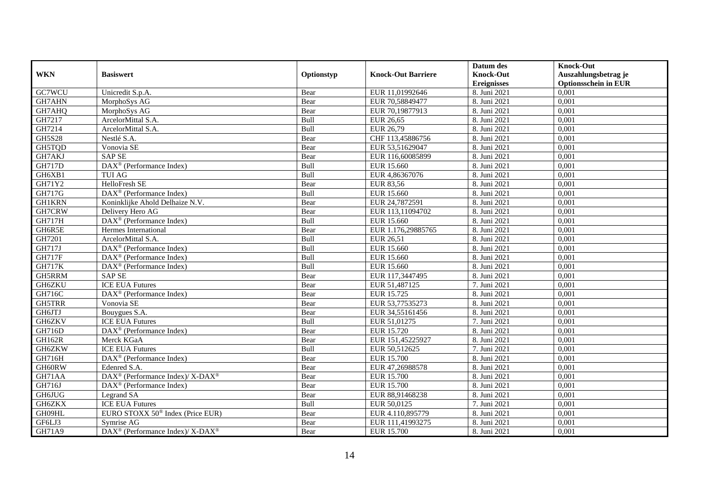|               |                                                          |            |                           | Datum des          | <b>Knock-Out</b>            |
|---------------|----------------------------------------------------------|------------|---------------------------|--------------------|-----------------------------|
| <b>WKN</b>    | <b>Basiswert</b>                                         | Optionstyp | <b>Knock-Out Barriere</b> | <b>Knock-Out</b>   | Auszahlungsbetrag je        |
|               |                                                          |            |                           | <b>Ereignisses</b> | <b>Optionsschein in EUR</b> |
| GC7WCU        | Unicredit S.p.A.                                         | Bear       | EUR 11,01992646           | 8. Juni 2021       | 0,001                       |
| GH7AHN        | MorphoSys AG                                             | Bear       | EUR 70,58849477           | 8. Juni 2021       | 0,001                       |
| GH7AHQ        | MorphoSys AG                                             | Bear       | EUR 70,19877913           | 8. Juni 2021       | 0,001                       |
| GH7217        | ArcelorMittal S.A.                                       | Bull       | <b>EUR 26,65</b>          | 8. Juni 2021       | 0,001                       |
| GH7214        | ArcelorMittal S.A.                                       | Bull       | EUR 26,79                 | 8. Juni 2021       | 0.001                       |
| <b>GH5S28</b> | Nestlé S.A.                                              | Bear       | CHF 113,45886756          | 8. Juni 2021       | 0,001                       |
| GH5TQD        | Vonovia SE                                               | Bear       | EUR 53,51629047           | 8. Juni 2021       | 0,001                       |
| GH7AKJ        | <b>SAP SE</b>                                            | Bear       | EUR 116,60085899          | 8. Juni 2021       | 0,001                       |
| <b>GH717D</b> | DAX <sup>®</sup> (Performance Index)                     | Bull       | EUR 15.660                | 8. Juni 2021       | 0,001                       |
| GH6XB1        | <b>TUI AG</b>                                            | Bull       | EUR 4,86367076            | 8. Juni 2021       | 0,001                       |
| GH71Y2        | <b>HelloFresh SE</b>                                     | Bear       | <b>EUR 83,56</b>          | 8. Juni 2021       | 0,001                       |
| <b>GH717G</b> | DAX <sup>®</sup> (Performance Index)                     | Bull       | <b>EUR 15.660</b>         | 8. Juni 2021       | 0,001                       |
| <b>GH1KRN</b> | Koninklijke Ahold Delhaize N.V.                          | Bear       | EUR 24,7872591            | 8. Juni 2021       | 0,001                       |
| GH7CRW        | Delivery Hero AG                                         | Bear       | EUR 113,11094702          | 8. Juni 2021       | 0,001                       |
| GH717H        | DAX <sup>®</sup> (Performance Index)                     | Bull       | EUR 15.660                | 8. Juni 2021       | 0,001                       |
| GH6R5E        | Hermes International                                     | Bear       | EUR 1.176,29885765        | 8. Juni 2021       | 0,001                       |
| GH7201        | ArcelorMittal S.A.                                       | Bull       | EUR 26,51                 | 8. Juni 2021       | 0,001                       |
| <b>GH717J</b> | $\overline{\text{DAX}^{\otimes}}$ (Performance Index)    | Bull       | EUR 15.660                | 8. Juni 2021       | 0.001                       |
| <b>GH717F</b> | $DAX^{\circledR}$ (Performance Index)                    | Bull       | EUR 15.660                | 8. Juni 2021       | 0,001                       |
| <b>GH717K</b> | DAX <sup>®</sup> (Performance Index)                     | Bull       | EUR 15.660                | 8. Juni 2021       | 0,001                       |
| GH5RRM        | <b>SAP SE</b>                                            | Bear       | EUR 117,3447495           | 8. Juni 2021       | 0,001                       |
| GH6ZKU        | <b>ICE EUA Futures</b>                                   | Bear       | EUR 51,487125             | 7. Juni 2021       | 0,001                       |
| <b>GH716C</b> | DAX <sup>®</sup> (Performance Index)                     | Bear       | EUR 15.725                | 8. Juni 2021       | 0,001                       |
| GH5TRR        | Vonovia SE                                               | Bear       | EUR 53,77535273           | 8. Juni 2021       | 0,001                       |
| GH6JTJ        | Bouygues S.A.                                            | Bear       | EUR 34,55161456           | 8. Juni 2021       | 0,001                       |
| GH6ZKV        | <b>ICE EUA Futures</b>                                   | Bull       | EUR 51,01275              | 7. Juni 2021       | 0,001                       |
| GH716D        | $\overline{\text{DAX}^{\otimes}}$ (Performance Index)    | Bear       | EUR 15.720                | 8. Juni 2021       | 0,001                       |
| <b>GH162R</b> | Merck KGaA                                               | Bear       | EUR 151,45225927          | 8. Juni 2021       | 0.001                       |
| GH6ZKW        | <b>ICE EUA Futures</b>                                   | Bull       | EUR 50,512625             | 7. Juni 2021       | 0,001                       |
| GH716H        | DAX <sup>®</sup> (Performance Index)                     | Bear       | <b>EUR 15.700</b>         | 8. Juni 2021       | 0,001                       |
| GH60RW        | Edenred S.A.                                             | Bear       | EUR 47,26988578           | 8. Juni 2021       | 0,001                       |
| GH71AA        | DAX <sup>®</sup> (Performance Index)/ X-DAX <sup>®</sup> | Bear       | <b>EUR 15.700</b>         | 8. Juni 2021       | 0,001                       |
| <b>GH716J</b> | DAX <sup>®</sup> (Performance Index)                     | Bear       | <b>EUR 15.700</b>         | 8. Juni 2021       | 0,001                       |
| <b>GH6JUG</b> | Legrand SA                                               | Bear       | EUR 88,91468238           | 8. Juni 2021       | 0,001                       |
| GH6ZKX        | <b>ICE EUA Futures</b>                                   | Bull       | EUR 50,0125               | 7. Juni 2021       | 0,001                       |
| GH09HL        | EURO STOXX 50 <sup>®</sup> Index (Price EUR)             | Bear       | EUR 4.110,895779          | 8. Juni 2021       | 0,001                       |
| GF6LJ3        | Symrise AG                                               | Bear       | EUR 111,41993275          | 8. Juni 2021       | 0,001                       |
| <b>GH71A9</b> | DAX <sup>®</sup> (Performance Index)/ X-DAX <sup>®</sup> | Bear       | EUR 15.700                | 8. Juni 2021       | 0,001                       |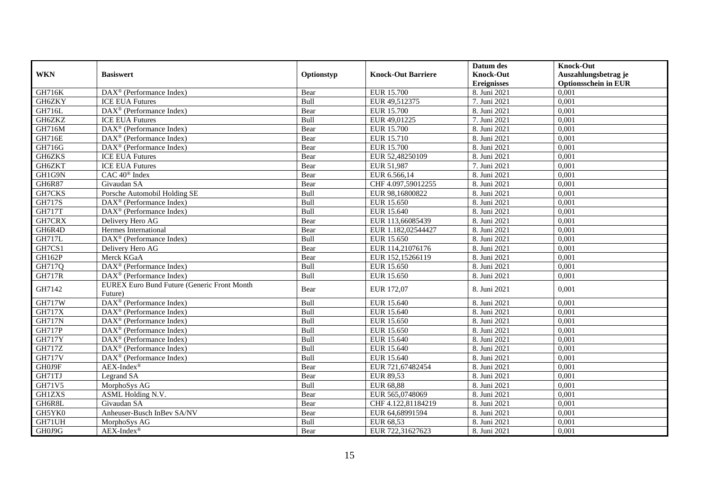|               |                                                       |            |                           | Datum des          | <b>Knock-Out</b>            |
|---------------|-------------------------------------------------------|------------|---------------------------|--------------------|-----------------------------|
| <b>WKN</b>    | <b>Basiswert</b>                                      | Optionstyp | <b>Knock-Out Barriere</b> | <b>Knock-Out</b>   | Auszahlungsbetrag je        |
|               |                                                       |            |                           | <b>Ereignisses</b> | <b>Optionsschein in EUR</b> |
| GH716K        | DAX <sup>®</sup> (Performance Index)                  | Bear       | <b>EUR 15.700</b>         | 8. Juni 2021       | 0,001                       |
| GH6ZKY        | <b>ICE EUA Futures</b>                                | Bull       | EUR 49,512375             | 7. Juni 2021       | 0,001                       |
| GH716L        | $DAX^{\circledR}$ (Performance Index)                 | Bear       | EUR 15.700                | 8. Juni 2021       | 0,001                       |
| GH6ZKZ        | <b>ICE EUA Futures</b>                                | Bull       | EUR 49,01225              | 7. Juni 2021       | 0,001                       |
| GH716M        | DAX <sup>®</sup> (Performance Index)                  | Bear       | <b>EUR 15.700</b>         | 8. Juni 2021       | 0,001                       |
| <b>GH716E</b> | $DAX^{\circledast}$ (Performance Index)               | Bear       | EUR 15.710                | 8. Juni 2021       | 0,001                       |
| GH716G        | DAX <sup>®</sup> (Performance Index)                  | Bear       | EUR 15.700                | 8. Juni 2021       | 0,001                       |
| GH6ZKS        | <b>ICE EUA Futures</b>                                | Bear       | EUR 52,48250109           | 8. Juni 2021       | 0,001                       |
| GH6ZKT        | <b>ICE EUA Futures</b>                                | Bear       | EUR 51.987                | 7. Juni 2021       | 0.001                       |
| GH1G9N        | CAC 40 <sup>®</sup> Index                             | Bear       | EUR 6.566,14              | 8. Juni 2021       | 0,001                       |
| <b>GH6R87</b> | Givaudan SA                                           | Bear       | CHF 4.097,59012255        | 8. Juni 2021       | 0,001                       |
| GH7CKS        | Porsche Automobil Holding SE                          | Bull       | EUR 98,16800822           | 8. Juni 2021       | 0,001                       |
| <b>GH717S</b> | $DAX^{\circledast}$ (Performance Index)               | Bull       | EUR 15.650                | 8. Juni 2021       | 0,001                       |
| <b>GH717T</b> | $\text{DAX}^{\otimes}$ (Performance Index)            | Bull       | EUR 15.640                | 8. Juni 2021       | 0,001                       |
| GH7CRX        | Delivery Hero AG                                      | Bear       | EUR 113,66085439          | 8. Juni 2021       | 0,001                       |
| GH6R4D        | Hermes International                                  | Bear       | EUR 1.182,02544427        | 8. Juni 2021       | 0,001                       |
| <b>GH717L</b> | DAX <sup>®</sup> (Performance Index)                  | Bull       | EUR 15.650                | 8. Juni 2021       | 0,001                       |
| GH7CS1        | Delivery Hero AG                                      | Bear       | EUR 114,21076176          | 8. Juni 2021       | 0,001                       |
| <b>GH162P</b> | Merck KGaA                                            | Bear       | EUR 152,15266119          | 8. Juni 2021       | 0,001                       |
| GH717Q        | DAX <sup>®</sup> (Performance Index)                  | Bull       | EUR 15.650                | 8. Juni 2021       | 0,001                       |
| <b>GH717R</b> | $DAX^{\circledR}$ (Performance Index)                 | Bull       | EUR 15.650                | 8. Juni 2021       | 0,001                       |
| GH7142        | <b>EUREX Euro Bund Future (Generic Front Month</b>    | Bear       | EUR 172,07                | 8. Juni 2021       | 0,001                       |
|               | Future)                                               |            |                           |                    |                             |
| <b>GH717W</b> | $DAX^{\circledast}$ (Performance Index)               | Bull       | EUR 15.640                | 8. Juni 2021       | 0,001                       |
| <b>GH717X</b> | $DAX^{\circledast}$ (Performance Index)               | Bull       | EUR 15.640                | 8. Juni 2021       | 0,001                       |
| <b>GH717N</b> | $\text{DAX}^{\otimes}$ (Performance Index)            | Bull       | EUR 15.650                | 8. Juni 2021       | 0,001                       |
| <b>GH717P</b> | $\text{DAX}^{\circledast}$ (Performance Index)        | Bull       | EUR 15.650                | 8. Juni 2021       | 0.001                       |
| <b>GH717Y</b> | $\overline{\text{DAX}^{\otimes}}$ (Performance Index) | Bull       | EUR 15.640                | 8. Juni 2021       | 0,001                       |
| <b>GH717Z</b> | DAX <sup>®</sup> (Performance Index)                  | Bull       | EUR 15.640                | 8. Juni 2021       | 0,001                       |
| <b>GH717V</b> | DAX <sup>®</sup> (Performance Index)                  | Bull       | EUR 15.640                | 8. Juni 2021       | 0,001                       |
| GH0J9F        | $AEX-Index^{\circledR}$                               | Bear       | EUR 721,67482454          | 8. Juni 2021       | 0,001                       |
| GH71TJ        | Legrand SA                                            | Bear       | EUR 89,53                 | 8. Juni 2021       | 0,001                       |
| GH71V5        | MorphoSys AG                                          | Bull       | <b>EUR 68,88</b>          | 8. Juni 2021       | 0.001                       |
| <b>GH1ZXS</b> | ASML Holding N.V.                                     | Bear       | EUR 565,0748069           | 8. Juni 2021       | 0,001                       |
| GH6R8L        | Givaudan SA                                           | Bear       | CHF 4.122,81184219        | 8. Juni 2021       | 0,001                       |
| GH5YK0        | Anheuser-Busch InBev SA/NV                            | Bear       | EUR 64,68991594           | 8. Juni 2021       | 0,001                       |
| GH71UH        | MorphoSys AG                                          | Bull       | EUR 68,53                 | 8. Juni 2021       | 0,001                       |
| GH0J9G        | $AEX-Index^{\circledR}$                               | Bear       | EUR 722,31627623          | 8. Juni 2021       | 0,001                       |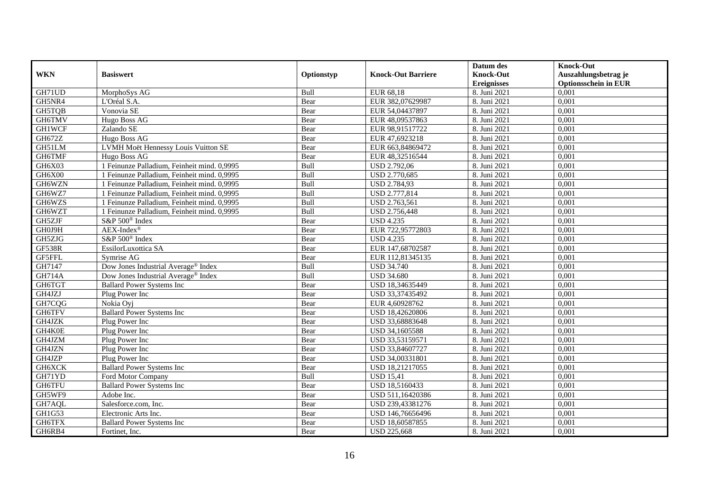|               |                                                 |            |                           | Datum des          | <b>Knock-Out</b>            |
|---------------|-------------------------------------------------|------------|---------------------------|--------------------|-----------------------------|
| <b>WKN</b>    | <b>Basiswert</b>                                | Optionstyp | <b>Knock-Out Barriere</b> | <b>Knock-Out</b>   | Auszahlungsbetrag je        |
|               |                                                 |            |                           | <b>Ereignisses</b> | <b>Optionsschein in EUR</b> |
| GH71UD        | MorphoSys AG                                    | Bull       | EUR 68,18                 | 8. Juni 2021       | 0,001                       |
| GH5NR4        | L'Oréal S.A.                                    | Bear       | EUR 382,07629987          | 8. Juni 2021       | 0,001                       |
| <b>GH5TQB</b> | Vonovia SE                                      | Bear       | EUR 54,04437897           | 8. Juni 2021       | 0,001                       |
| GH6TMV        | Hugo Boss AG                                    | Bear       | EUR 48,09537863           | 8. Juni 2021       | 0,001                       |
| <b>GH1WCF</b> | Zalando SE                                      | Bear       | EUR 98,91517722           | 8. Juni 2021       | 0,001                       |
| GH672Z        | Hugo Boss AG                                    | Bear       | EUR 47,6923218            | 8. Juni 2021       | 0,001                       |
| GH51LM        | LVMH Moët Hennessy Louis Vuitton SE             | Bear       | EUR 663,84869472          | 8. Juni 2021       | 0,001                       |
| <b>GH6TMF</b> | Hugo Boss AG                                    | Bear       | EUR 48,32516544           | 8. Juni 2021       | 0,001                       |
| GH6X03        | 1 Feinunze Palladium, Feinheit mind. 0,9995     | Bull       | <b>USD 2.792,06</b>       | 8. Juni 2021       | 0,001                       |
| GH6X00        | 1 Feinunze Palladium, Feinheit mind. 0,9995     | Bull       | USD 2.770,685             | 8. Juni 2021       | 0,001                       |
| GH6WZN        | 1 Feinunze Palladium, Feinheit mind. 0,9995     | Bull       | USD 2.784,93              | 8. Juni 2021       | 0,001                       |
| GH6WZ7        | 1 Feinunze Palladium, Feinheit mind. 0,9995     | Bull       | USD 2.777,814             | 8. Juni 2021       | 0,001                       |
| GH6WZS        | 1 Feinunze Palladium, Feinheit mind. 0,9995     | Bull       | USD 2.763,561             | 8. Juni 2021       | 0,001                       |
| GH6WZT        | 1 Feinunze Palladium, Feinheit mind. 0,9995     | Bull       | USD 2.756,448             | 8. Juni 2021       | 0,001                       |
| GH5ZJF        | S&P 500 <sup>®</sup> Index                      | Bear       | <b>USD 4.235</b>          | 8. Juni 2021       | 0,001                       |
| GH0J9H        | $AEX-Index^{\circledR}$                         | Bear       | EUR 722,95772803          | 8. Juni 2021       | 0,001                       |
| GH5ZJG        | S&P 500 <sup>®</sup> Index                      | Bear       | <b>USD 4.235</b>          | 8. Juni 2021       | 0,001                       |
| <b>GF538R</b> | EssilorLuxottica SA                             | Bear       | EUR 147,68702587          | 8. Juni 2021       | 0,001                       |
| GF5FFL        | Symrise AG                                      | Bear       | EUR 112,81345135          | 8. Juni 2021       | 0,001                       |
| GH7147        | Dow Jones Industrial Average® Index             | Bull       | <b>USD 34.740</b>         | 8. Juni 2021       | 0,001                       |
| <b>GH714A</b> | Dow Jones Industrial Average <sup>®</sup> Index | Bull       | <b>USD 34.680</b>         | 8. Juni 2021       | 0.001                       |
| GH6TGT        | <b>Ballard Power Systems Inc.</b>               | Bear       | USD 18,34635449           | 8. Juni 2021       | 0,001                       |
| GH4JZJ        | Plug Power Inc                                  | Bear       | USD 33,37435492           | 8. Juni 2021       | 0,001                       |
| GH7CQG        | Nokia Ovi                                       | Bear       | EUR 4,60928762            | 8. Juni 2021       | 0,001                       |
| GH6TFV        | <b>Ballard Power Systems Inc</b>                | Bear       | USD 18,42620806           | 8. Juni 2021       | 0,001                       |
| GH4JZK        | Plug Power Inc                                  | Bear       | USD 33,68883648           | 8. Juni 2021       | 0,001                       |
| GH4K0E        | Plug Power Inc                                  | Bear       | USD 34,1605588            | 8. Juni 2021       | 0,001                       |
| GH4JZM        | Plug Power Inc                                  | Bear       | USD 33,53159571           | 8. Juni 2021       | 0,001                       |
| GH4JZN        | Plug Power Inc                                  | Bear       | USD 33,84607727           | 8. Juni 2021       | 0,001                       |
| GH4JZP        | Plug Power Inc                                  | Bear       | USD 34,00331801           | 8. Juni 2021       | 0.001                       |
| GH6XCK        | <b>Ballard Power Systems Inc</b>                | Bear       | USD 18,21217055           | 8. Juni 2021       | 0,001                       |
| GH71YD        | Ford Motor Company                              | Bull       | <b>USD 15,41</b>          | 8. Juni 2021       | 0,001                       |
| GH6TFU        | <b>Ballard Power Systems Inc</b>                | Bear       | USD 18,5160433            | 8. Juni 2021       | 0,001                       |
| GH5WF9        | Adobe Inc.                                      | Bear       | USD 511,16420386          | 8. Juni 2021       | 0,001                       |
| GH7AQL        | Salesforce.com, Inc.                            | Bear       | USD 239,43381276          | 8. Juni 2021       | 0,001                       |
| GH1G53        | Electronic Arts Inc.                            | Bear       | USD 146,76656496          | 8. Juni 2021       | 0,001                       |
| GH6TFX        | <b>Ballard Power Systems Inc</b>                | Bear       | USD 18,60587855           | 8. Juni 2021       | 0,001                       |
| GH6RB4        | Fortinet, Inc.                                  | Bear       | <b>USD 225,668</b>        | 8. Juni 2021       | 0,001                       |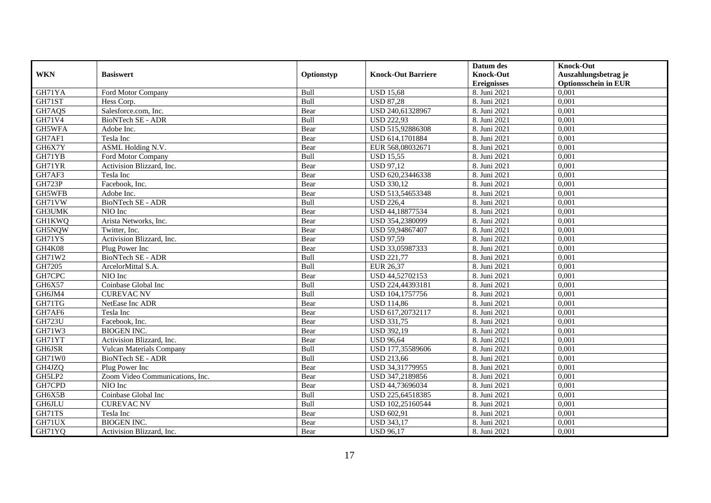|               |                                 |            |                           | Datum des          | <b>Knock-Out</b>            |
|---------------|---------------------------------|------------|---------------------------|--------------------|-----------------------------|
| <b>WKN</b>    | <b>Basiswert</b>                | Optionstyp | <b>Knock-Out Barriere</b> | <b>Knock-Out</b>   | Auszahlungsbetrag je        |
|               |                                 |            |                           | <b>Ereignisses</b> | <b>Optionsschein in EUR</b> |
| GH71YA        | Ford Motor Company              | Bull       | <b>USD 15,68</b>          | 8. Juni 2021       | 0,001                       |
| GH71ST        | Hess Corp.                      | Bull       | <b>USD 87,28</b>          | 8. Juni 2021       | 0,001                       |
| GH7AQS        | Salesforce.com, Inc.            | Bear       | USD 240,61328967          | 8. Juni 2021       | 0,001                       |
| GH71V4        | BioNTech SE - ADR               | Bull       | <b>USD 222,93</b>         | 8. Juni 2021       | 0,001                       |
| GH5WFA        | Adobe Inc.                      | Bear       | USD 515,92886308          | 8. Juni 2021       | 0,001                       |
| GH7AF1        | Tesla Inc                       | Bear       | USD 614,1701884           | 8. Juni 2021       | 0,001                       |
| GH6X7Y        | ASML Holding N.V.               | Bear       | EUR 568,08032671          | 8. Juni 2021       | 0,001                       |
| GH71YB        | Ford Motor Company              | Bull       | <b>USD 15,55</b>          | 8. Juni 2021       | 0,001                       |
| GH71YR        | Activision Blizzard, Inc.       | Bear       | <b>USD 97,12</b>          | 8. Juni 2021       | 0,001                       |
| GH7AF3        | Tesla Inc                       | Bear       | USD 620,23446338          | 8. Juni 2021       | 0,001                       |
| <b>GH723P</b> | Facebook, Inc.                  | Bear       | <b>USD 330,12</b>         | 8. Juni 2021       | 0,001                       |
| <b>GH5WFB</b> | Adobe Inc.                      | Bear       | USD 513,54653348          | 8. Juni 2021       | 0,001                       |
| GH71VW        | BioNTech SE - ADR               | Bull       | <b>USD 226.4</b>          | 8. Juni 2021       | 0,001                       |
| GH3UMK        | NIO Inc                         | Bear       | USD 44,18877534           | 8. Juni 2021       | 0,001                       |
| <b>GH1KWQ</b> | Arista Networks, Inc.           | Bear       | USD 354,2380099           | 8. Juni 2021       | 0,001                       |
| GH5NQW        | Twitter, Inc.                   | Bear       | USD 59,94867407           | 8. Juni 2021       | 0,001                       |
| GH71YS        | Activision Blizzard, Inc.       | Bear       | <b>USD 97,59</b>          | 8. Juni 2021       | 0,001                       |
| GH4K08        | Plug Power Inc                  | Bear       | USD 33,05987333           | 8. Juni 2021       | 0.001                       |
| GH71W2        | BioNTech SE - ADR               | Bull       | <b>USD 221,77</b>         | 8. Juni 2021       | 0,001                       |
| GH7205        | ArcelorMittal S.A.              | Bull       | EUR 26,37                 | 8. Juni 2021       | 0,001                       |
| GH7CPC        | NIO Inc                         | Bear       | USD 44,52702153           | 8. Juni 2021       | 0,001                       |
| GH6X57        | Coinbase Global Inc             | Bull       | USD 224,44393181          | 8. Juni 2021       | 0,001                       |
| GH6JM4        | <b>CUREVAC NV</b>               | Bull       | USD 104,1757756           | 8. Juni 2021       | 0,001                       |
| GH71TG        | NetEase Inc ADR                 | Bear       | <b>USD 114,86</b>         | 8. Juni 2021       | 0,001                       |
| GH7AF6        | Tesla Inc                       | Bear       | USD 617,20732117          | 8. Juni 2021       | 0,001                       |
| <b>GH723U</b> | Facebook, Inc.                  | Bear       | <b>USD 331,75</b>         | 8. Juni 2021       | 0,001                       |
| GH71W3        | <b>BIOGEN INC.</b>              | Bear       | <b>USD 392,19</b>         | 8. Juni 2021       | 0,001                       |
| GH71YT        | Activision Blizzard, Inc.       | Bear       | <b>USD 96,64</b>          | 8. Juni 2021       | 0,001                       |
| GH6JSR        | <b>Vulcan Materials Company</b> | Bull       | USD 177,35589606          | 8. Juni 2021       | 0,001                       |
| GH71W0        | <b>BioNTech SE - ADR</b>        | Bull       | <b>USD 213,66</b>         | 8. Juni 2021       | 0,001                       |
| GH4JZQ        | Plug Power Inc                  | Bear       | USD 34,31779955           | 8. Juni 2021       | 0,001                       |
| GH5LP2        | Zoom Video Communications, Inc. | Bear       | USD 347,2189856           | 8. Juni 2021       | 0.001                       |
| GH7CPD        | NIO Inc                         | Bear       | USD 44,73696034           | 8. Juni 2021       | 0,001                       |
| GH6X5B        | Coinbase Global Inc             | Bull       | USD 225,64518385          | 8. Juni 2021       | 0,001                       |
| <b>GH6JLU</b> | <b>CUREVAC NV</b>               | Bull       | USD 102,25160544          | 8. Juni 2021       | 0,001                       |
| GH71TS        | Tesla Inc                       | Bear       | <b>USD 602,91</b>         | 8. Juni 2021       | 0,001                       |
| GH71UX        | <b>BIOGEN INC.</b>              | Bear       | <b>USD 343,17</b>         | 8. Juni 2021       | 0,001                       |
| GH71YQ        | Activision Blizzard, Inc.       | Bear       | <b>USD 96,17</b>          | 8. Juni 2021       | 0,001                       |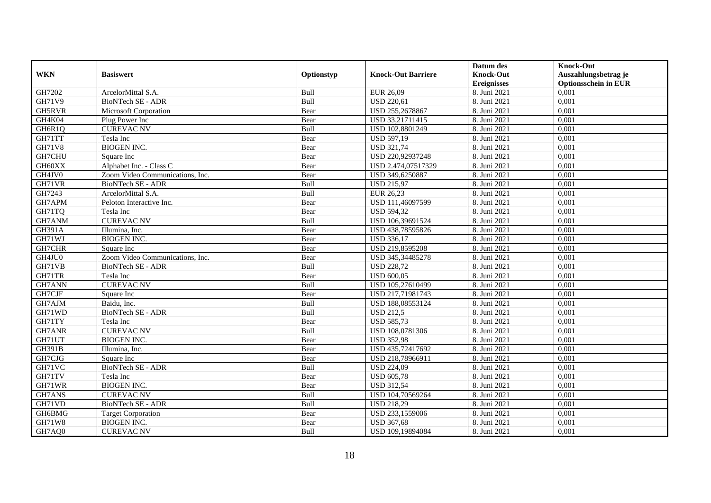|               |                                 |            |                           | Datum des          | <b>Knock-Out</b>            |
|---------------|---------------------------------|------------|---------------------------|--------------------|-----------------------------|
| <b>WKN</b>    | <b>Basiswert</b>                | Optionstyp | <b>Knock-Out Barriere</b> | <b>Knock-Out</b>   | Auszahlungsbetrag je        |
|               |                                 |            |                           | <b>Ereignisses</b> | <b>Optionsschein in EUR</b> |
| GH7202        | ArcelorMittal S.A.              | Bull       | EUR 26,09                 | 8. Juni 2021       | 0,001                       |
| <b>GH71V9</b> | <b>BioNTech SE - ADR</b>        | Bull       | <b>USD 220,61</b>         | 8. Juni 2021       | 0,001                       |
| GH5RVR        | <b>Microsoft Corporation</b>    | Bear       | USD 255,2678867           | 8. Juni 2021       | 0,001                       |
| GH4K04        | Plug Power Inc                  | Bear       | USD 33,21711415           | 8. Juni 2021       | 0,001                       |
| GH6R1Q        | <b>CUREVAC NV</b>               | Bull       | USD 102,8801249           | 8. Juni 2021       | 0.001                       |
| GH71TT        | Tesla Inc                       | Bear       | <b>USD 597,19</b>         | 8. Juni 2021       | 0,001                       |
| <b>GH71V8</b> | <b>BIOGEN INC.</b>              | Bear       | <b>USD 321,74</b>         | 8. Juni 2021       | 0,001                       |
| GH7CHU        | Square Inc                      | Bear       | USD 220,92937248          | 8. Juni 2021       | 0,001                       |
| GH60XX        | Alphabet Inc. - Class C         | Bear       | USD 2.474,07517329        | 8. Juni 2021       | 0,001                       |
| GH4JV0        | Zoom Video Communications, Inc. | Bear       | USD 349,6250887           | 8. Juni 2021       | 0,001                       |
| GH71VR        | BioNTech SE - ADR               | Bull       | <b>USD 215,97</b>         | 8. Juni 2021       | 0.001                       |
| GH7243        | ArcelorMittal S.A.              | Bull       | EUR 26,23                 | 8. Juni 2021       | 0,001                       |
| GH7APM        | Peloton Interactive Inc.        | Bear       | USD 111,46097599          | 8. Juni 2021       | 0,001                       |
| GH71TQ        | Tesla Inc                       | Bear       | <b>USD 594,32</b>         | 8. Juni 2021       | 0,001                       |
| GH7ANM        | <b>CUREVAC NV</b>               | Bull       | USD 106,39691524          | 8. Juni 2021       | 0,001                       |
| GH391A        | Illumina, Inc.                  | Bear       | USD 438,78595826          | 8. Juni 2021       | 0,001                       |
| GH71WJ        | <b>BIOGEN INC.</b>              | Bear       | <b>USD 336,17</b>         | 8. Juni 2021       | 0,001                       |
| GH7CHR        | Square Inc                      | Bear       | USD 219,8595208           | 8. Juni 2021       | 0,001                       |
| GH4JU0        | Zoom Video Communications, Inc. | Bear       | USD 345,34485278          | 8. Juni 2021       | 0,001                       |
| GH71VB        | BioNTech SE - ADR               | Bull       | <b>USD 228,72</b>         | 8. Juni 2021       | 0,001                       |
| GH71TR        | Tesla Inc                       | Bear       | <b>USD 600,05</b>         | 8. Juni 2021       | 0,001                       |
| GH7ANN        | <b>CUREVAC NV</b>               | Bull       | USD 105,27610499          | 8. Juni 2021       | 0,001                       |
| GH7CJF        | Square Inc                      | Bear       | USD 217,71981743          | 8. Juni 2021       | 0,001                       |
| GH7AJM        | Baidu, Inc.                     | Bull       | USD 188,08553124          | 8. Juni 2021       | 0,001                       |
| GH71WD        | <b>BioNTech SE - ADR</b>        | Bull       | <b>USD 212,5</b>          | 8. Juni 2021       | 0.001                       |
| GH71TY        | Tesla Inc                       | Bear       | <b>USD 585,73</b>         | 8. Juni 2021       | 0,001                       |
| GH7ANR        | <b>CUREVAC NV</b>               | Bull       | USD 108,0781306           | 8. Juni 2021       | 0,001                       |
| GH71UT        | <b>BIOGEN INC.</b>              | Bear       | <b>USD 352,98</b>         | 8. Juni 2021       | 0,001                       |
| <b>GH391B</b> | Illumina, Inc.                  | Bear       | USD 435,72417692          | 8. Juni 2021       | 0,001                       |
| GH7CJG        | Square Inc                      | Bear       | USD 218,78966911          | 8. Juni 2021       | 0,001                       |
| GH71VC        | <b>BioNTech SE - ADR</b>        | Bull       | <b>USD 224,09</b>         | 8. Juni 2021       | 0,001                       |
| GH71TV        | Tesla Inc                       | Bear       | <b>USD 605,78</b>         | 8. Juni 2021       | 0.001                       |
| GH71WR        | <b>BIOGEN INC.</b>              | Bear       | <b>USD 312,54</b>         | 8. Juni 2021       | 0,001                       |
| GH7ANS        | <b>CUREVAC NV</b>               | Bull       | USD 104,70569264          | 8. Juni 2021       | 0,001                       |
| GH71VD        | <b>BioNTech SE - ADR</b>        | Bull       | <b>USD 218,29</b>         | 8. Juni 2021       | 0,001                       |
| GH6BMG        | <b>Target Corporation</b>       | Bear       | USD 233,1559006           | 8. Juni 2021       | 0,001                       |
| <b>GH71W8</b> | <b>BIOGEN INC.</b>              | Bear       | <b>USD 367,68</b>         | 8. Juni 2021       | 0,001                       |
| GH7AQ0        | <b>CUREVAC NV</b>               | Bull       | USD 109,19894084          | 8. Juni 2021       | 0,001                       |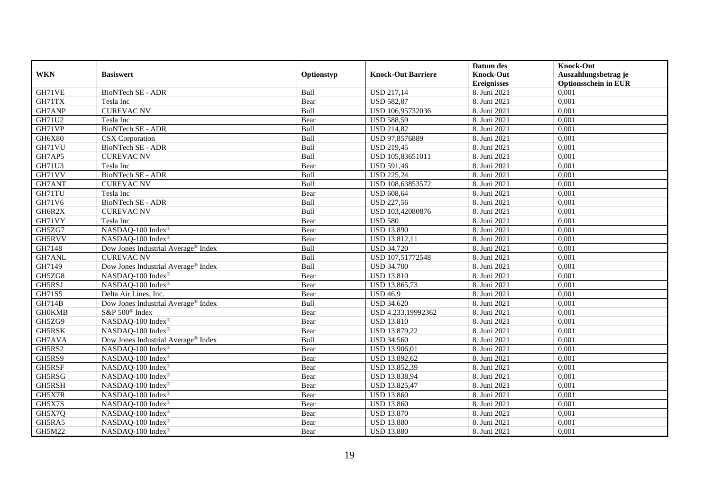|               |                                     |            |                           | Datum des        | <b>Knock-Out</b>            |
|---------------|-------------------------------------|------------|---------------------------|------------------|-----------------------------|
| <b>WKN</b>    | <b>Basiswert</b>                    | Optionstyp | <b>Knock-Out Barriere</b> | <b>Knock-Out</b> | Auszahlungsbetrag je        |
|               |                                     |            |                           | Ereignisses      | <b>Optionsschein in EUR</b> |
| GH71VE        | BioNTech SE - ADR                   | Bull       | <b>USD 217,14</b>         | 8. Juni 2021     | 0,001                       |
| GH71TX        | Tesla Inc                           | Bear       | <b>USD 582,87</b>         | 8. Juni 2021     | 0,001                       |
| GH7ANP        | <b>CUREVAC NV</b>                   | Bull       | USD 106,95732036          | 8. Juni 2021     | 0,001                       |
| GH71U2        | Tesla Inc                           | Bear       | <b>USD 588,59</b>         | 8. Juni 2021     | 0,001                       |
| GH71VP        | <b>BioNTech SE - ADR</b>            | Bull       | <b>USD 214,82</b>         | 8. Juni 2021     | 0,001                       |
| GH6X80        | CSX Corporation                     | Bull       | USD 97,8576889            | 8. Juni 2021     | 0,001                       |
| GH71VU        | BioNTech SE - ADR                   | Bull       | <b>USD 219,45</b>         | 8. Juni 2021     | 0,001                       |
| GH7AP5        | <b>CUREVAC NV</b>                   | Bull       | USD 105,83651011          | 8. Juni 2021     | 0,001                       |
| GH71U3        | Tesla Inc                           | Bear       | <b>USD 591,46</b>         | 8. Juni 2021     | 0,001                       |
| GH71VV        | BioNTech SE - ADR                   | Bull       | <b>USD 225,24</b>         | 8. Juni 2021     | 0,001                       |
| GH7ANT        | <b>CUREVAC NV</b>                   | Bull       | USD 108,63853572          | 8. Juni 2021     | 0,001                       |
| GH71TU        | Tesla Inc                           | Bear       | <b>USD 608,64</b>         | 8. Juni 2021     | 0,001                       |
| GH71V6        | BioNTech SE - ADR                   | Bull       | <b>USD 227,56</b>         | 8. Juni 2021     | 0,001                       |
| GH6R2X        | <b>CUREVAC NV</b>                   | Bull       | USD 103,42080876          | 8. Juni 2021     | 0,001                       |
| GH71VY        | Tesla Inc                           | Bear       | <b>USD 580</b>            | 8. Juni 2021     | 0,001                       |
| GH5ZG7        | NASDAQ-100 Index®                   | Bear       | <b>USD 13.890</b>         | 8. Juni 2021     | 0,001                       |
| GH5RVV        | NASDAQ-100 Index®                   | Bear       | USD 13.812,11             | 8. Juni 2021     | 0,001                       |
| GH7148        | Dow Jones Industrial Average® Index | Bull       | <b>USD 34.720</b>         | 8. Juni 2021     | 0.001                       |
| GH7ANL        | <b>CUREVAC NV</b>                   | Bull       | USD 107,51772548          | 8. Juni 2021     | 0,001                       |
| GH7149        | Dow Jones Industrial Average® Index | Bull       | <b>USD 34.700</b>         | 8. Juni 2021     | 0,001                       |
| GH5ZG8        | NASDAQ-100 Index®                   | Bear       | <b>USD 13.810</b>         | 8. Juni 2021     | 0,001                       |
| GH5RSJ        | NASDAQ-100 Index®                   | Bear       | USD 13.865,73             | 8. Juni 2021     | 0,001                       |
| GH71S5        | Delta Air Lines, Inc.               | Bear       | <b>USD 46,9</b>           | 8. Juni 2021     | 0,001                       |
| <b>GH714B</b> | Dow Jones Industrial Average® Index | Bull       | <b>USD 34.620</b>         | 8. Juni 2021     | 0,001                       |
| <b>GH0KMB</b> | S&P 500 <sup>®</sup> Index          | Bear       | USD 4.233,19992362        | 8. Juni 2021     | 0,001                       |
| GH5ZG9        | NASDAQ-100 Index®                   | Bear       | <b>USD 13.810</b>         | 8. Juni 2021     | 0,001                       |
| GH5RSK        | NASDAQ-100 Index®                   | Bear       | USD 13.879,22             | 8. Juni 2021     | 0,001                       |
| GH7AVA        | Dow Jones Industrial Average® Index | Bull       | <b>USD 34.560</b>         | 8. Juni 2021     | 0,001                       |
| GH5RS2        | NASDAQ-100 Index®                   | Bear       | USD 13.906,01             | 8. Juni 2021     | 0,001                       |
| GH5RS9        | NASDAQ-100 Index®                   | Bear       | USD 13.892,62             | 8. Juni 2021     | 0,001                       |
| GH5RSF        | NASDAQ-100 Index®                   | Bear       | USD 13.852,39             | 8. Juni 2021     | 0,001                       |
| GH5RSG        | NASDAQ-100 Index®                   | Bear       | USD 13.838,94             | 8. Juni 2021     | 0.001                       |
| GH5RSH        | NASDAQ-100 Index®                   | Bear       | USD 13.825,47             | 8. Juni 2021     | 0,001                       |
| GH5X7R        | NASDAQ-100 Index®                   | Bear       | <b>USD 13.860</b>         | 8. Juni 2021     | 0,001                       |
| GH5X7S        | NASDAQ-100 Index®                   | Bear       | <b>USD 13.860</b>         | 8. Juni 2021     | 0,001                       |
| GH5X7Q        | NASDAQ-100 Index®                   | Bear       | <b>USD 13.870</b>         | 8. Juni 2021     | 0,001                       |
| GH5RA5        | NASDAQ-100 Index®                   | Bear       | <b>USD 13.880</b>         | 8. Juni 2021     | 0,001                       |
| GH5M22        | NASDAQ-100 Index®                   | Bear       | <b>USD 13.880</b>         | 8. Juni 2021     | 0,001                       |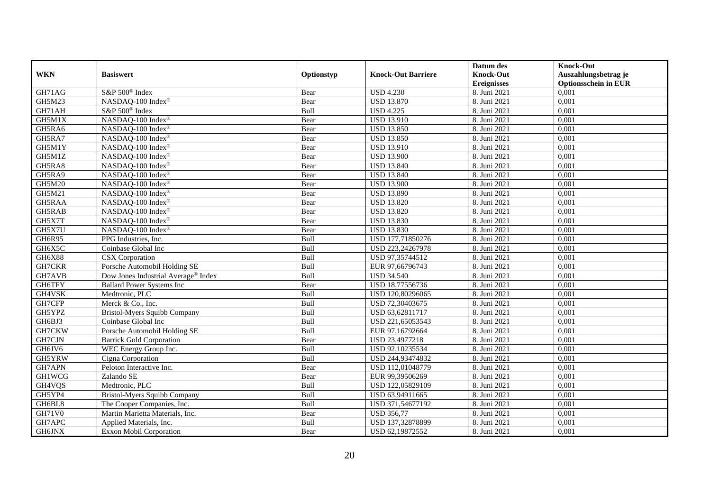|               |                                     |            |                           | Datum des          | <b>Knock-Out</b>            |
|---------------|-------------------------------------|------------|---------------------------|--------------------|-----------------------------|
| <b>WKN</b>    | <b>Basiswert</b>                    | Optionstyp | <b>Knock-Out Barriere</b> | <b>Knock-Out</b>   | Auszahlungsbetrag je        |
|               |                                     |            |                           | <b>Ereignisses</b> | <b>Optionsschein in EUR</b> |
| GH71AG        | S&P 500 <sup>®</sup> Index          | Bear       | <b>USD 4.230</b>          | 8. Juni 2021       | 0,001                       |
| GH5M23        | NASDAQ-100 Index®                   | Bear       | <b>USD 13.870</b>         | 8. Juni 2021       | 0,001                       |
| GH71AH        | S&P 500 <sup>®</sup> Index          | Bull       | <b>USD 4.225</b>          | 8. Juni 2021       | 0,001                       |
| GH5M1X        | NASDAQ-100 Index®                   | Bear       | <b>USD 13.910</b>         | 8. Juni 2021       | 0,001                       |
| GH5RA6        | NASDAQ-100 Index®                   | Bear       | <b>USD 13.850</b>         | 8. Juni 2021       | 0,001                       |
| GH5RA7        | NASDAQ-100 Index®                   | Bear       | <b>USD 13.850</b>         | 8. Juni 2021       | 0,001                       |
| GH5M1Y        | NASDAQ-100 Index®                   | Bear       | <b>USD 13.910</b>         | 8. Juni 2021       | 0,001                       |
| GH5M1Z        | NASDAQ-100 Index®                   | Bear       | <b>USD 13.900</b>         | 8. Juni 2021       | 0,001                       |
| GH5RA8        | NASDAQ-100 Index®                   | Bear       | <b>USD 13.840</b>         | 8. Juni 2021       | 0,001                       |
| GH5RA9        | NASDAQ-100 Index®                   | Bear       | <b>USD 13.840</b>         | 8. Juni 2021       | 0,001                       |
| <b>GH5M20</b> | NASDAQ-100 Index®                   | Bear       | <b>USD 13.900</b>         | 8. Juni 2021       | 0,001                       |
| GH5M21        | NASDAQ-100 Index®                   | Bear       | <b>USD 13.890</b>         | 8. Juni 2021       | 0,001                       |
| GH5RAA        | NASDAQ-100 Index®                   | Bear       | <b>USD 13.820</b>         | 8. Juni 2021       | 0,001                       |
| GH5RAB        | NASDAQ-100 Index®                   | Bear       | <b>USD 13.820</b>         | 8. Juni 2021       | 0,001                       |
| GH5X7T        | NASDAQ-100 Index®                   | Bear       | <b>USD 13.830</b>         | 8. Juni 2021       | 0,001                       |
| GH5X7U        | NASDAQ-100 Index®                   | Bear       | <b>USD 13.830</b>         | 8. Juni 2021       | 0,001                       |
| GH6R95        | PPG Industries, Inc.                | Bull       | USD 177,71850276          | 8. Juni 2021       | 0,001                       |
| GH6X5C        | Coinbase Global Inc                 | Bull       | USD 223,24267978          | 8. Juni 2021       | 0.001                       |
| GH6X88        | <b>CSX</b> Corporation              | Bull       | USD 97,35744512           | 8. Juni 2021       | 0,001                       |
| GH7CKR        | Porsche Automobil Holding SE        | Bull       | EUR 97,66796743           | 8. Juni 2021       | 0,001                       |
| GH7AVB        | Dow Jones Industrial Average® Index | Bull       | <b>USD 34.540</b>         | 8. Juni 2021       | 0,001                       |
| GH6TFY        | <b>Ballard Power Systems Inc</b>    | Bear       | USD 18,77556736           | 8. Juni 2021       | 0,001                       |
| GH4VSK        | Medtronic, PLC                      | Bull       | USD 120,80296065          | 8. Juni 2021       | 0,001                       |
| GH7CFP        | Merck & Co., Inc.                   | Bull       | USD 72,30403675           | 8. Juni 2021       | 0,001                       |
| GH5YPZ        | Bristol-Myers Squibb Company        | Bull       | USD 63,62811717           | 8. Juni 2021       | 0,001                       |
| GH6BJ3        | Coinbase Global Inc                 | Bull       | USD 221,65053543          | 8. Juni 2021       | 0,001                       |
| GH7CKW        | Porsche Automobil Holding SE        | Bull       | EUR 97,16792664           | 8. Juni 2021       | 0,001                       |
| GH7CJN        | <b>Barrick Gold Corporation</b>     | Bear       | USD 23,4977218            | 8. Juni 2021       | 0,001                       |
| GH6JV6        | WEC Energy Group Inc.               | Bull       | USD 92,10235534           | 8. Juni 2021       | 0,001                       |
| GH5YRW        | Cigna Corporation                   | Bull       | USD 244,93474832          | 8. Juni 2021       | 0,001                       |
| GH7APN        | Peloton Interactive Inc.            | Bear       | USD 112,01048779          | 8. Juni 2021       | 0,001                       |
| <b>GH1WCG</b> | Zalando SE                          | Bear       | EUR 99,39506269           | 8. Juni 2021       | 0,001                       |
| GH4VQS        | Medtronic, PLC                      | Bull       | USD 122,05829109          | 8. Juni 2021       | 0,001                       |
| GH5YP4        | Bristol-Myers Squibb Company        | Bull       | USD 63,94911665           | 8. Juni 2021       | 0,001                       |
| GH6BL8        | The Cooper Companies, Inc.          | Bull       | USD 371,54677192          | 8. Juni 2021       | 0,001                       |
| <b>GH71V0</b> | Martin Marietta Materials, Inc.     | Bear       | <b>USD 356,77</b>         | 8. Juni 2021       | 0,001                       |
| GH7APC        | Applied Materials, Inc.             | Bull       | USD 137,32878899          | 8. Juni 2021       | 0,001                       |
| GH6JNX        | Exxon Mobil Corporation             | Bear       | USD 62,19872552           | 8. Juni 2021       | 0,001                       |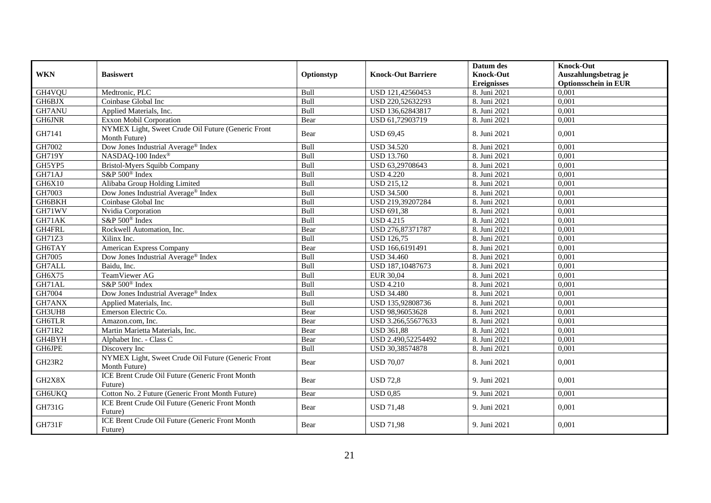| <b>WKN</b>    | <b>Basiswert</b>                                                    | Optionstyp | <b>Knock-Out Barriere</b> | Datum des<br><b>Knock-Out</b> | <b>Knock-Out</b><br>Auszahlungsbetrag je |
|---------------|---------------------------------------------------------------------|------------|---------------------------|-------------------------------|------------------------------------------|
|               |                                                                     |            |                           | <b>Ereignisses</b>            | <b>Optionsschein in EUR</b>              |
| GH4VQU        | Medtronic, PLC                                                      | Bull       | USD 121,42560453          | 8. Juni 2021                  | 0,001                                    |
| GH6BJX        | Coinbase Global Inc                                                 | Bull       | USD 220,52632293          | 8. Juni 2021                  | 0,001                                    |
| GH7ANU        | Applied Materials, Inc.                                             | Bull       | USD 136,62843817          | 8. Juni 2021                  | 0,001                                    |
| GH6JNR        | <b>Exxon Mobil Corporation</b>                                      | Bear       | USD 61,72903719           | 8. Juni 2021                  | 0,001                                    |
| GH7141        | NYMEX Light, Sweet Crude Oil Future (Generic Front<br>Month Future) | Bear       | <b>USD 69,45</b>          | 8. Juni 2021                  | 0.001                                    |
| GH7002        | Dow Jones Industrial Average® Index                                 | Bull       | <b>USD 34.520</b>         | 8. Juni 2021                  | 0,001                                    |
| <b>GH719Y</b> | NASDAQ-100 Index®                                                   | Bull       | <b>USD 13.760</b>         | 8. Juni 2021                  | 0,001                                    |
| GH5YP5        | Bristol-Myers Squibb Company                                        | Bull       | USD 63,29708643           | 8. Juni 2021                  | 0,001                                    |
| GH71AJ        | S&P 500 <sup>®</sup> Index                                          | Bull       | <b>USD 4.220</b>          | 8. Juni 2021                  | 0,001                                    |
| GH6X10        | Alibaba Group Holding Limited                                       | Bull       | <b>USD 215,12</b>         | 8. Juni 2021                  | 0.001                                    |
| GH7003        | Dow Jones Industrial Average® Index                                 | Bull       | <b>USD 34.500</b>         | 8. Juni 2021                  | 0,001                                    |
| GH6BKH        | Coinbase Global Inc                                                 | Bull       | USD 219,39207284          | 8. Juni 2021                  | 0,001                                    |
| GH71WV        | Nvidia Corporation                                                  | Bull       | <b>USD 691,38</b>         | 8. Juni 2021                  | 0,001                                    |
| GH71AK        | S&P 500 <sup>®</sup> Index                                          | Bull       | <b>USD 4.215</b>          | 8. Juni 2021                  | 0,001                                    |
| GH4FRL        | Rockwell Automation, Inc.                                           | Bear       | USD 276,87371787          | 8. Juni 2021                  | 0,001                                    |
| GH71Z3        | Xilinx Inc.                                                         | Bull       | <b>USD 126,75</b>         | 8. Juni 2021                  | 0,001                                    |
| GH6TAY        | American Express Company                                            | Bear       | USD 166,6191491           | 8. Juni 2021                  | 0,001                                    |
| GH7005        | Dow Jones Industrial Average® Index                                 | Bull       | <b>USD 34.460</b>         | 8. Juni 2021                  | 0,001                                    |
| GH7ALL        | Baidu, Inc.                                                         | Bull       | USD 187,10487673          | 8. Juni 2021                  | 0,001                                    |
| GH6X75        | TeamViewer AG                                                       | Bull       | EUR 30,04                 | 8. Juni 2021                  | 0,001                                    |
| GH71AL        | S&P 500 <sup>®</sup> Index                                          | Bull       | <b>USD 4.210</b>          | 8. Juni 2021                  | 0,001                                    |
| GH7004        | Dow Jones Industrial Average® Index                                 | Bull       | <b>USD 34.480</b>         | 8. Juni 2021                  | 0,001                                    |
| GH7ANX        | Applied Materials, Inc.                                             | Bull       | USD 135,92808736          | 8. Juni 2021                  | 0,001                                    |
| GH3UH8        | Emerson Electric Co.                                                | Bear       | USD 98,96053628           | 8. Juni 2021                  | 0.001                                    |
| GH6TLR        | Amazon.com, Inc.                                                    | Bear       | USD 3.266,55677633        | 8. Juni 2021                  | 0,001                                    |
| GH71R2        | Martin Marietta Materials, Inc.                                     | Bear       | <b>USD 361,88</b>         | 8. Juni 2021                  | 0,001                                    |
| GH4BYH        | Alphabet Inc. - Class C                                             | Bear       | USD 2.490,52254492        | 8. Juni 2021                  | 0.001                                    |
| GH6JPE        | Discovery Inc                                                       | Bull       | USD 30,38574878           | 8. Juni 2021                  | 0,001                                    |
| GH23R2        | NYMEX Light, Sweet Crude Oil Future (Generic Front<br>Month Future) | Bear       | <b>USD 70,07</b>          | 8. Juni 2021                  | 0,001                                    |
| GH2X8X        | ICE Brent Crude Oil Future (Generic Front Month<br>Future)          | Bear       | <b>USD 72,8</b>           | 9. Juni 2021                  | 0,001                                    |
| <b>GH6UKQ</b> | Cotton No. 2 Future (Generic Front Month Future)                    | Bear       | <b>USD 0,85</b>           | 9. Juni 2021                  | 0,001                                    |
| GH731G        | ICE Brent Crude Oil Future (Generic Front Month<br>Future)          | Bear       | <b>USD 71,48</b>          | 9. Juni 2021                  | 0,001                                    |
| <b>GH731F</b> | ICE Brent Crude Oil Future (Generic Front Month<br>Future)          | Bear       | <b>USD 71,98</b>          | 9. Juni 2021                  | 0,001                                    |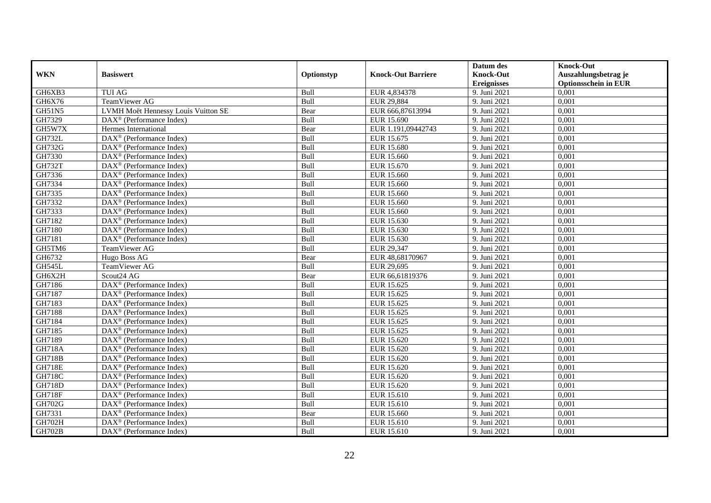|               |                                                         |            |                           | Datum des          | <b>Knock-Out</b>            |
|---------------|---------------------------------------------------------|------------|---------------------------|--------------------|-----------------------------|
| <b>WKN</b>    | <b>Basiswert</b>                                        | Optionstyp | <b>Knock-Out Barriere</b> | <b>Knock-Out</b>   | Auszahlungsbetrag je        |
|               |                                                         |            |                           | <b>Ereignisses</b> | <b>Optionsschein in EUR</b> |
| GH6XB3        | <b>TUI AG</b>                                           | Bull       | EUR 4,834378              | 9. Juni 2021       | 0,001                       |
| GH6X76        | TeamViewer AG                                           | Bull       | EUR 29,884                | 9. Juni 2021       | 0,001                       |
| GH51N5        | LVMH Moët Hennessy Louis Vuitton SE                     | Bear       | EUR 666,87613994          | 9. Juni 2021       | 0,001                       |
| GH7329        | $DAX^{\circledcirc}$ (Performance Index)                | Bull       | EUR 15.690                | 9. Juni 2021       | 0.001                       |
| GH5W7X        | Hermes International                                    | Bear       | EUR 1.191,09442743        | 9. Juni 2021       | 0,001                       |
| <b>GH732L</b> | DAX <sup>®</sup> (Performance Index)                    | Bull       | EUR 15.675                | 9. Juni 2021       | 0,001                       |
| GH732G        | $DAX^{\circledR}$ (Performance Index)                   | Bull       | <b>EUR 15.680</b>         | 9. Juni 2021       | 0,001                       |
| GH7330        | DAX <sup>®</sup> (Performance Index)                    | Bull       | EUR 15.660                | 9. Juni 2021       | 0,001                       |
| <b>GH732T</b> | $DAX^{\circledast}$ (Performance Index)                 | Bull       | EUR 15.670                | 9. Juni 2021       | 0,001                       |
| GH7336        | $DAX^{\circledast}$ (Performance Index)                 | Bull       | EUR 15.660                | 9. Juni 2021       | 0,001                       |
| GH7334        | $DAX^{\circledcirc}$ (Performance Index)                | Bull       | EUR 15.660                | 9. Juni 2021       | 0,001                       |
| GH7335        | DAX <sup>®</sup> (Performance Index)                    | Bull       | <b>EUR 15.660</b>         | 9. Juni 2021       | 0,001                       |
| GH7332        | DAX <sup>®</sup> (Performance Index)                    | Bull       | EUR 15.660                | 9. Juni 2021       | 0,001                       |
| GH7333        | $DAX^{\circledR}$ (Performance Index)                   | Bull       | EUR 15.660                | 9. Juni 2021       | 0,001                       |
| GH7182        | $\text{DAX}^{\otimes}$ (Performance Index)              | Bull       | EUR 15.630                | 9. Juni 2021       | 0,001                       |
| GH7180        | DAX <sup>®</sup> (Performance Index)                    | Bull       | EUR 15.630                | 9. Juni 2021       | 0,001                       |
| GH7181        | DAX <sup>®</sup> (Performance Index)                    | Bull       | EUR 15.630                | 9. Juni 2021       | 0,001                       |
| GH5TM6        | TeamViewer AG                                           | Bull       | EUR 29.347                | 9. Juni 2021       | 0.001                       |
| GH6732        | Hugo Boss AG                                            | Bear       | EUR 48,68170967           | 9. Juni 2021       | 0,001                       |
| GH545L        | TeamViewer AG                                           | Bull       | EUR 29,695                | 9. Juni 2021       | 0,001                       |
| GH6X2H        | Scout24 AG                                              | Bear       | EUR 66,61819376           | 9. Juni 2021       | 0.001                       |
| GH7186        | DAX <sup>®</sup> (Performance Index)                    | Bull       | EUR 15.625                | 9. Juni 2021       | 0,001                       |
| GH7187        | $DAX^{\circledast}$ (Performance Index)                 | Bull       | EUR 15.625                | 9. Juni 2021       | 0,001                       |
| GH7183        | DAX <sup>®</sup> (Performance Index)                    | Bull       | EUR 15.625                | 9. Juni 2021       | 0,001                       |
| GH7188        | $DAX^{\circledcirc}$ (Performance Index)                | Bull       | EUR 15.625                | 9. Juni 2021       | 0.001                       |
| GH7184        | $\text{DAX}^{\otimes}$ (Performance Index)              | Bull       | EUR 15.625                | 9. Juni 2021       | 0,001                       |
| GH7185        | DAX <sup>®</sup> (Performance Index)                    | Bull       | EUR 15.625                | 9. Juni 2021       | 0,001                       |
| GH7189        | $DAX^{\circledR}$ (Performance Index)                   | Bull       | EUR 15.620                | 9. Juni 2021       | 0,001                       |
| <b>GH718A</b> | $\overline{\text{DAX}^{\otimes}}$ (Performance Index)   | Bull       | EUR 15.620                | 9. Juni 2021       | 0,001                       |
| <b>GH718B</b> | $DAX^{\circledast}$ (Performance Index)                 | Bull       | EUR 15.620                | 9. Juni 2021       | 0,001                       |
| <b>GH718E</b> | $DAX^{\circledast}$ (Performance Index)                 | Bull       | EUR 15.620                | 9. Juni 2021       | 0,001                       |
| <b>GH718C</b> | $DAX^{\circledcirc}$ (Performance Index)                | Bull       | EUR 15.620                | 9. Juni 2021       | 0.001                       |
| <b>GH718D</b> | $DAX^{\circledR}$ (Performance Index)                   | Bull       | EUR 15.620                | 9. Juni 2021       | 0,001                       |
| <b>GH718F</b> | $\overline{\text{DAX}}^{\textcirc}$ (Performance Index) | Bull       | EUR 15.610                | 9. Juni 2021       | 0,001                       |
| GH702G        | $\overline{\text{DAX}^{\otimes}}$ (Performance Index)   | Bull       | EUR 15.610                | 9. Juni 2021       | 0,001                       |
| GH7331        | $DAX^{\circledcirc}$ (Performance Index)                | Bear       | EUR 15.660                | 9. Juni 2021       | 0,001                       |
| GH702H        | $DAX^{\circledast}$ (Performance Index)                 | Bull       | EUR 15.610                | 9. Juni 2021       | 0,001                       |
| <b>GH702B</b> | DAX <sup>®</sup> (Performance Index)                    | Bull       | EUR 15.610                | 9. Juni 2021       | 0,001                       |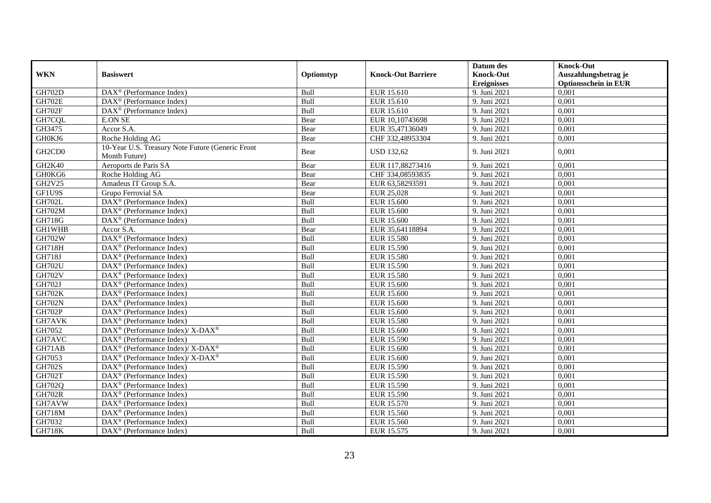|               |                                                                   |            |                           | Datum des        | <b>Knock-Out</b>            |
|---------------|-------------------------------------------------------------------|------------|---------------------------|------------------|-----------------------------|
| <b>WKN</b>    | <b>Basiswert</b>                                                  | Optionstyp | <b>Knock-Out Barriere</b> | <b>Knock-Out</b> | Auszahlungsbetrag je        |
|               |                                                                   |            |                           | Ereignisses      | <b>Optionsschein in EUR</b> |
| GH702D        | DAX <sup>®</sup> (Performance Index)                              | Bull       | EUR 15.610                | 9. Juni 2021     | 0,001                       |
| <b>GH702E</b> | $DAX^{\circledast}$ (Performance Index)                           | Bull       | EUR 15.610                | 9. Juni 2021     | 0,001                       |
| <b>GH702F</b> | $\text{DAX}^{\otimes}$ (Performance Index)                        | Bull       | EUR 15.610                | 9. Juni 2021     | 0,001                       |
| GH7CQL        | <b>E.ON SE</b>                                                    | Bear       | EUR 10,10743698           | 9. Juni 2021     | 0,001                       |
| GH3475        | Accor S.A.                                                        | Bear       | EUR 35,47136049           | 9. Juni 2021     | 0,001                       |
| GH0KJ6        | Roche Holding AG                                                  | Bear       | CHF 332,48953304          | 9. Juni 2021     | 0,001                       |
| GH2CD0        | 10-Year U.S. Treasury Note Future (Generic Front<br>Month Future) | Bear       | <b>USD 132,62</b>         | 9. Juni 2021     | 0,001                       |
| GH2K40        | Aeroports de Paris SA                                             | Bear       | EUR 117,88273416          | 9. Juni 2021     | 0,001                       |
| GH0KG6        | Roche Holding AG                                                  | Bear       | CHF 334,08593835          | 9. Juni 2021     | 0,001                       |
| GH2V25        | Amadeus IT Group S.A.                                             | Bear       | EUR 63,58293591           | 9. Juni 2021     | 0.001                       |
| GF1U9S        | Grupo Ferrovial SA                                                | Bear       | EUR 25,028                | 9. Juni 2021     | 0,001                       |
| <b>GH702L</b> | $\overline{\text{DAX}}^{\textcirc}$ (Performance Index)           | Bull       | <b>EUR 15.600</b>         | 9. Juni 2021     | 0,001                       |
| GH702M        | $DAX^{\circledcirc}$ (Performance Index)                          | Bull       | <b>EUR 15.600</b>         | 9. Juni 2021     | 0,001                       |
| GH718G        | $DAX^{\circledast}$ (Performance Index)                           | Bull       | EUR 15.600                | 9. Juni 2021     | 0,001                       |
| <b>GH1WHB</b> | Accor S.A.                                                        | Bear       | EUR 35,64118894           | 9. Juni 2021     | 0,001                       |
| GH702W        | DAX <sup>®</sup> (Performance Index)                              | Bull       | EUR 15.580                | 9. Juni 2021     | 0,001                       |
| <b>GH718H</b> | $DAX^{\circledcirc}$ (Performance Index)                          | Bull       | EUR 15.590                | 9. Juni 2021     | 0,001                       |
| <b>GH718J</b> | DAX <sup>®</sup> (Performance Index)                              | Bull       | <b>EUR 15.580</b>         | 9. Juni 2021     | 0,001                       |
| <b>GH702U</b> | $DAX^{\circledcirc}$ (Performance Index)                          | Bull       | EUR 15.590                | 9. Juni 2021     | 0,001                       |
| <b>GH702V</b> | $DAX^{\circledast}$ (Performance Index)                           | Bull       | <b>EUR 15.580</b>         | 9. Juni 2021     | 0,001                       |
| GH702J        | DAX <sup>®</sup> (Performance Index)                              | Bull       | <b>EUR 15.600</b>         | 9. Juni 2021     | 0,001                       |
| <b>GH702K</b> | DAX <sup>®</sup> (Performance Index)                              | Bull       | <b>EUR 15.600</b>         | 9. Juni 2021     | 0,001                       |
| <b>GH702N</b> | $DAX^{\circledast}$ (Performance Index)                           | Bull       | EUR 15.600                | 9. Juni 2021     | 0,001                       |
| <b>GH702P</b> | $DAX^{\circledcirc}$ (Performance Index)                          | Bull       | <b>EUR 15.600</b>         | 9. Juni 2021     | 0.001                       |
| GH7AVK        | DAX <sup>®</sup> (Performance Index)                              | Bull       | <b>EUR 15.580</b>         | 9. Juni 2021     | 0,001                       |
| GH7052        | DAX <sup>®</sup> (Performance Index)/ X-DAX <sup>®</sup>          | Bull       | <b>EUR 15.600</b>         | 9. Juni 2021     | 0.001                       |
| GH7AVC        | $DAX^{\circledR}$ (Performance Index)                             | Bull       | EUR 15.590                | 9. Juni 2021     | 0,001                       |
| GH71AB        | DAX <sup>®</sup> (Performance Index)/ X-DAX <sup>®</sup>          | Bull       | <b>EUR 15.600</b>         | 9. Juni 2021     | 0,001                       |
| GH7053        | DAX <sup>®</sup> (Performance Index)/ X-DAX <sup>®</sup>          | Bull       | EUR 15.600                | 9. Juni 2021     | 0,001                       |
| GH702S        | $DAX^{\circledast}$ (Performance Index)                           | Bull       | EUR 15.590                | 9. Juni 2021     | 0,001                       |
| <b>GH702T</b> | $DAX^{\circledcirc}$ (Performance Index)                          | Bull       | EUR 15.590                | 9. Juni 2021     | 0.001                       |
| GH702Q        | DAX <sup>®</sup> (Performance Index)                              | Bull       | <b>EUR 15.590</b>         | 9. Juni 2021     | 0,001                       |
| <b>GH702R</b> | DAX <sup>®</sup> (Performance Index)                              | Bull       | <b>EUR 15.590</b>         | 9. Juni 2021     | 0,001                       |
| GH7AVW        | $\overline{\text{DAX}^{\otimes}}$ (Performance Index)             | Bull       | <b>EUR 15.570</b>         | 9. Juni 2021     | 0,001                       |
| <b>GH718M</b> | $DAX^{\circledast}$ (Performance Index)                           | Bull       | EUR 15.560                | 9. Juni 2021     | 0,001                       |
| GH7032        | DAX <sup>®</sup> (Performance Index)                              | Bull       | EUR 15.560                | 9. Juni 2021     | 0,001                       |
| <b>GH718K</b> | DAX <sup>®</sup> (Performance Index)                              | Bull       | EUR 15.575                | 9. Juni 2021     | 0,001                       |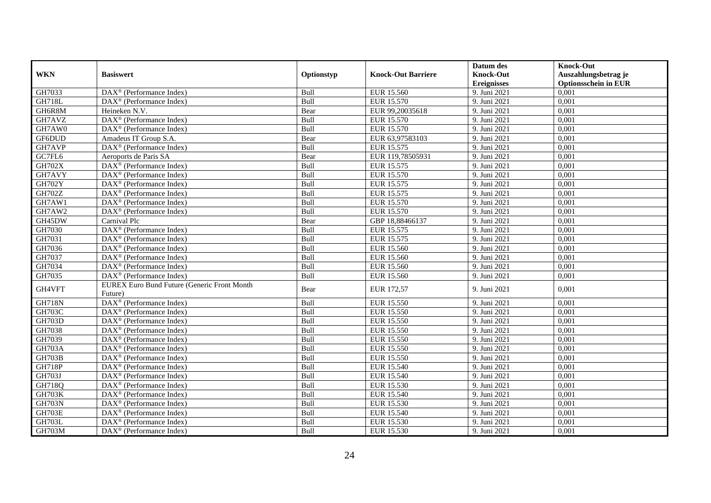|               |                                                              |            |                           | Datum des          | <b>Knock-Out</b>            |
|---------------|--------------------------------------------------------------|------------|---------------------------|--------------------|-----------------------------|
| <b>WKN</b>    | <b>Basiswert</b>                                             | Optionstyp | <b>Knock-Out Barriere</b> | <b>Knock-Out</b>   | Auszahlungsbetrag je        |
|               |                                                              |            |                           | <b>Ereignisses</b> | <b>Optionsschein in EUR</b> |
| GH7033        | DAX <sup>®</sup> (Performance Index)                         | Bull       | EUR 15.560                | 9. Juni 2021       | 0,001                       |
| <b>GH718L</b> | $\overline{\text{DAX}}^{\textcircled{}}$ (Performance Index) | Bull       | EUR 15.570                | 9. Juni 2021       | 0,001                       |
| GH6R8M        | Heineken N.V.                                                | Bear       | EUR 99,20035618           | 9. Juni 2021       | 0,001                       |
| GH7AVZ        | $DAX^{\circledast}$ (Performance Index)                      | Bull       | EUR 15.570                | 9. Juni 2021       | 0,001                       |
| GH7AW0        | DAX <sup>®</sup> (Performance Index)                         | Bull       | EUR 15.570                | 9. Juni 2021       | 0,001                       |
| GF6DUD        | Amadeus IT Group S.A.                                        | Bear       | EUR 63,97583103           | 9. Juni 2021       | 0,001                       |
| GH7AVP        | DAX <sup>®</sup> (Performance Index)                         | Bull       | EUR 15.575                | 9. Juni 2021       | 0,001                       |
| GC7FL6        | Aeroports de Paris SA                                        | Bear       | EUR 119,78505931          | 9. Juni 2021       | 0,001                       |
| <b>GH702X</b> | DAX <sup>®</sup> (Performance Index)                         | Bull       | EUR 15.575                | 9. Juni 2021       | 0,001                       |
| GH7AVY        | DAX <sup>®</sup> (Performance Index)                         | Bull       | EUR 15.570                | 9. Juni 2021       | 0,001                       |
| <b>GH702Y</b> | $\overline{\text{DAX}^{\otimes}(\text{Performance Index})}$  | Bull       | EUR 15.575                | 9. Juni 2021       | 0.001                       |
| <b>GH702Z</b> | DAX <sup>®</sup> (Performance Index)                         | Bull       | EUR 15.575                | 9. Juni 2021       | 0,001                       |
| GH7AW1        | $DAX^{\circledR}$ (Performance Index)                        | Bull       | EUR 15.570                | 9. Juni 2021       | 0,001                       |
| GH7AW2        | $DAX^{\circledast}$ (Performance Index)                      | Bull       | EUR 15.570                | 9. Juni 2021       | 0,001                       |
| GH45DW        | Carnival Plc                                                 | Bear       | GBP 18,88466137           | 9. Juni 2021       | 0,001                       |
| GH7030        | DAX <sup>®</sup> (Performance Index)                         | Bull       | EUR 15.575                | 9. Juni 2021       | 0,001                       |
| GH7031        | DAX <sup>®</sup> (Performance Index)                         | Bull       | EUR 15.575                | 9. Juni 2021       | 0,001                       |
| GH7036        | $DAX^{\circledcirc}$ (Performance Index)                     | Bull       | EUR 15.560                | 9. Juni 2021       | 0,001                       |
| GH7037        | DAX <sup>®</sup> (Performance Index)                         | Bull       | EUR 15.560                | 9. Juni 2021       | 0,001                       |
| GH7034        | $DAX^{\circledR}$ (Performance Index)                        | Bull       | EUR 15.560                | 9. Juni 2021       | 0,001                       |
| GH7035        | $\overline{\text{DAX}^{\otimes}}$ (Performance Index)        | Bull       | EUR 15.560                | 9. Juni 2021       | 0.001                       |
| GH4VFT        | <b>EUREX Euro Bund Future (Generic Front Month</b>           | Bear       | EUR 172,57                | 9. Juni 2021       | 0,001                       |
|               | Future)                                                      |            |                           |                    |                             |
| <b>GH718N</b> | DAX <sup>®</sup> (Performance Index)                         | Bull       | EUR 15.550                | 9. Juni 2021       | 0,001                       |
| <b>GH703C</b> | $DAX^{\circledcirc}$ (Performance Index)                     | Bull       | EUR 15.550                | 9. Juni 2021       | 0.001                       |
| GH703D        | DAX <sup>®</sup> (Performance Index)                         | Bull       | <b>EUR 15.550</b>         | 9. Juni 2021       | 0,001                       |
| GH7038        | DAX <sup>®</sup> (Performance Index)                         | Bull       | <b>EUR 15.550</b>         | 9. Juni 2021       | 0,001                       |
| GH7039        | DAX <sup>®</sup> (Performance Index)                         | Bull       | EUR 15.550                | 9. Juni 2021       | 0,001                       |
| <b>GH703A</b> | $DAX^{\circledR}$ (Performance Index)                        | Bull       | <b>EUR 15.550</b>         | 9. Juni 2021       | 0,001                       |
| <b>GH703B</b> | $DAX^{\circledast}$ (Performance Index)                      | Bull       | EUR 15.550                | 9. Juni 2021       | 0,001                       |
| <b>GH718P</b> | DAX <sup>®</sup> (Performance Index)                         | Bull       | EUR 15.540                | 9. Juni 2021       | 0,001                       |
| <b>GH703J</b> | $DAX^{\circledcirc}$ (Performance Index)                     | Bull       | <b>EUR 15.540</b>         | 9. Juni 2021       | 0.001                       |
| <b>GH718Q</b> | $DAX^{\circledR}$ (Performance Index)                        | Bull       | EUR 15.530                | 9. Juni 2021       | 0,001                       |
| <b>GH703K</b> | DAX <sup>®</sup> (Performance Index)                         | Bull       | EUR 15.540                | 9. Juni 2021       | 0,001                       |
| <b>GH703N</b> | DAX <sup>®</sup> (Performance Index)                         | Bull       | EUR 15.530                | 9. Juni 2021       | 0,001                       |
| GH703E        | $DAX^{\circledast}$ (Performance Index)                      | Bull       | <b>EUR 15.540</b>         | 9. Juni 2021       | 0,001                       |
| GH703L        | $DAX^{\circledast}$ (Performance Index)                      | Bull       | EUR 15.530                | 9. Juni 2021       | 0,001                       |
| <b>GH703M</b> | DAX <sup>®</sup> (Performance Index)                         | Bull       | EUR 15.530                | 9. Juni 2021       | 0,001                       |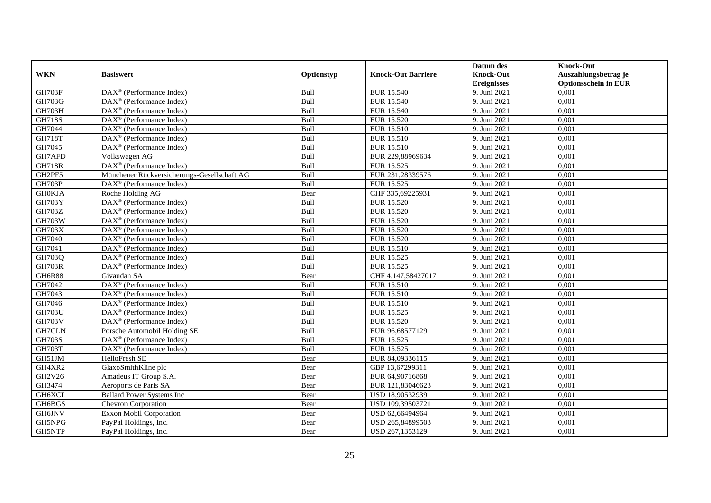|               |                                                       |            |                           | Datum des          | <b>Knock-Out</b>            |
|---------------|-------------------------------------------------------|------------|---------------------------|--------------------|-----------------------------|
| <b>WKN</b>    | <b>Basiswert</b>                                      | Optionstyp | <b>Knock-Out Barriere</b> | <b>Knock-Out</b>   | Auszahlungsbetrag je        |
|               |                                                       |            |                           | <b>Ereignisses</b> | <b>Optionsschein in EUR</b> |
| <b>GH703F</b> | DAX <sup>®</sup> (Performance Index)                  | Bull       | EUR 15.540                | 9. Juni 2021       | 0,001                       |
| GH703G        | $DAX^{\circledR}$ (Performance Index)                 | Bull       | <b>EUR 15.540</b>         | 9. Juni 2021       | 0,001                       |
| <b>GH703H</b> | DAX <sup>®</sup> (Performance Index)                  | Bull       | EUR 15.540                | 9. Juni 2021       | 0,001                       |
| <b>GH718S</b> | $DAX^{\circledast}$ (Performance Index)               | Bull       | EUR 15.520                | 9. Juni 2021       | 0,001                       |
| GH7044        | DAX <sup>®</sup> (Performance Index)                  | Bull       | EUR 15.510                | 9. Juni 2021       | 0,001                       |
| GH718T        | $DAX^{\circledR}$ (Performance Index)                 | Bull       | EUR 15.510                | 9. Juni 2021       | 0,001                       |
| GH7045        | DAX <sup>®</sup> (Performance Index)                  | Bull       | EUR 15.510                | 9. Juni 2021       | 0,001                       |
| GH7AFD        | Volkswagen AG                                         | Bull       | EUR 229,88969634          | 9. Juni 2021       | 0,001                       |
| <b>GH718R</b> | $DAX^{\circledR}$ (Performance Index)                 | Bull       | EUR 15.525                | 9. Juni 2021       | 0,001                       |
| GH2PF5        | Münchener Rückversicherungs-Gesellschaft AG           | Bull       | EUR 231,28339576          | 9. Juni 2021       | 0,001                       |
| <b>GH703P</b> | DAX <sup>®</sup> (Performance Index)                  | Bull       | EUR 15.525                | 9. Juni 2021       | 0,001                       |
| <b>GH0KJA</b> | Roche Holding AG                                      | Bear       | CHF 335,69225931          | 9. Juni 2021       | 0,001                       |
| <b>GH703Y</b> | DAX <sup>®</sup> (Performance Index)                  | Bull       | EUR 15.520                | 9. Juni 2021       | 0,001                       |
| GH703Z        | $DAX^{\circledcirc}$ (Performance Index)              | Bull       | EUR 15.520                | 9. Juni 2021       | 0,001                       |
| GH703W        | DAX <sup>®</sup> (Performance Index)                  | Bull       | <b>EUR 15.520</b>         | 9. Juni 2021       | 0,001                       |
| <b>GH703X</b> | DAX <sup>®</sup> (Performance Index)                  | Bull       | <b>EUR 15.520</b>         | 9. Juni 2021       | 0,001                       |
| GH7040        | $DAX^{\circledR}$ (Performance Index)                 | Bull       | EUR 15.520                | 9. Juni 2021       | 0,001                       |
| GH7041        | $\overline{\text{DAX}^{\otimes}}$ (Performance Index) | Bull       | EUR 15.510                | 9. Juni 2021       | 0,001                       |
| GH703Q        | DAX <sup>®</sup> (Performance Index)                  | Bull       | EUR 15.525                | 9. Juni 2021       | 0,001                       |
| <b>GH703R</b> | $DAX^{\circledast}$ (Performance Index)               | Bull       | EUR 15.525                | 9. Juni 2021       | 0,001                       |
| GH6R88        | Givaudan SA                                           | Bear       | CHF 4.147,58427017        | 9. Juni 2021       | 0,001                       |
| GH7042        | $DAX^{\circledR}$ (Performance Index)                 | Bull       | EUR 15.510                | 9. Juni 2021       | 0,001                       |
| GH7043        | $DAX^{\circledR}$ (Performance Index)                 | Bull       | EUR 15.510                | 9. Juni 2021       | 0,001                       |
| GH7046        | $DAX^{\circledR}$ (Performance Index)                 | Bull       | <b>EUR 15.510</b>         | 9. Juni 2021       | 0,001                       |
| <b>GH703U</b> | $DAX^{\circledR}$ (Performance Index)                 | Bull       | EUR 15.525                | 9. Juni 2021       | 0,001                       |
| <b>GH703V</b> | DAX <sup>®</sup> (Performance Index)                  | Bull       | EUR 15.520                | 9. Juni 2021       | 0,001                       |
| GH7CLN        | Porsche Automobil Holding SE                          | Bull       | EUR 96,68577129           | 9. Juni 2021       | 0,001                       |
| <b>GH703S</b> | $DAX^{\circledR}$ (Performance Index)                 | Bull       | EUR 15.525                | 9. Juni 2021       | 0,001                       |
| <b>GH703T</b> | DAX <sup>®</sup> (Performance Index)                  | Bull       | EUR 15.525                | 9. Juni 2021       | 0,001                       |
| GH51JM        | HelloFresh SE                                         | Bear       | EUR 84,09336115           | 9. Juni 2021       | 0.001                       |
| GH4XR2        | GlaxoSmithKline plc                                   | Bear       | GBP 13,67299311           | 9. Juni 2021       | 0,001                       |
| GH2V26        | Amadeus IT Group S.A.                                 | Bear       | EUR 64,90716868           | 9. Juni 2021       | 0,001                       |
| GH3474        | Aeroports de Paris SA                                 | Bear       | EUR 121,83046623          | 9. Juni 2021       | 0,001                       |
| GH6XCL        | <b>Ballard Power Systems Inc</b>                      | Bear       | USD 18,90532939           | 9. Juni 2021       | 0,001                       |
| GH6BGS        | Chevron Corporation                                   | Bear       | USD 109,39503721          | 9. Juni 2021       | 0,001                       |
| GH6JNV        | Exxon Mobil Corporation                               | Bear       | USD 62,66494964           | 9. Juni 2021       | 0,001                       |
| GH5NPG        | PayPal Holdings, Inc.                                 | Bear       | USD 265,84899503          | 9. Juni 2021       | 0,001                       |
| GH5NTP        | PayPal Holdings, Inc.                                 | Bear       | USD 267,1353129           | 9. Juni 2021       | 0,001                       |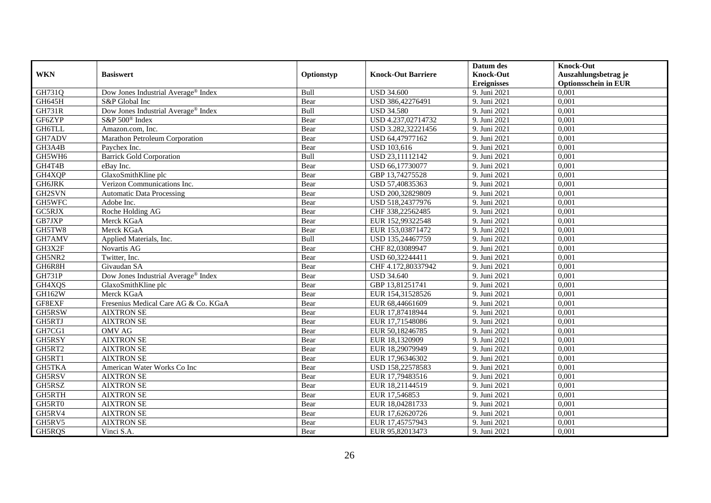|               |                                      |            |                           | Datum des          | <b>Knock-Out</b>            |
|---------------|--------------------------------------|------------|---------------------------|--------------------|-----------------------------|
| <b>WKN</b>    | <b>Basiswert</b>                     | Optionstyp | <b>Knock-Out Barriere</b> | <b>Knock-Out</b>   | Auszahlungsbetrag je        |
|               |                                      |            |                           | <b>Ereignisses</b> | <b>Optionsschein in EUR</b> |
| GH731Q        | Dow Jones Industrial Average® Index  | Bull       | <b>USD 34.600</b>         | 9. Juni 2021       | 0,001                       |
| <b>GH645H</b> | S&P Global Inc                       | Bear       | USD 386,42276491          | 9. Juni 2021       | 0,001                       |
| <b>GH731R</b> | Dow Jones Industrial Average® Index  | Bull       | <b>USD 34.580</b>         | 9. Juni 2021       | 0,001                       |
| GF6ZYP        | S&P 500 <sup>®</sup> Index           | Bear       | USD 4.237,02714732        | 9. Juni 2021       | 0,001                       |
| GH6TLL        | Amazon.com, Inc.                     | Bear       | USD 3.282,32221456        | 9. Juni 2021       | 0,001                       |
| GH7ADV        | Marathon Petroleum Corporation       | Bear       | USD 64,47977162           | 9. Juni 2021       | 0,001                       |
| GH3A4B        | Paychex Inc.                         | Bear       | <b>USD 103,616</b>        | 9. Juni 2021       | 0,001                       |
| GH5WH6        | <b>Barrick Gold Corporation</b>      | Bull       | USD 23,11112142           | 9. Juni 2021       | 0,001                       |
| GH4T4B        | eBay Inc.                            | Bear       | USD 66,17730077           | 9. Juni 2021       | 0,001                       |
| GH4XQP        | GlaxoSmithKline plc                  | Bear       | GBP 13,74275528           | 9. Juni 2021       | 0,001                       |
| <b>GH6JRK</b> | Verizon Communications Inc.          | Bear       | USD 57,40835363           | 9. Juni 2021       | 0,001                       |
| GH2SVN        | <b>Automatic Data Processing</b>     | Bear       | USD 200,32829809          | 9. Juni 2021       | 0,001                       |
| GH5WFC        | Adobe Inc.                           | Bear       | USD 518,24377976          | 9. Juni 2021       | 0,001                       |
| GC5RJX        | Roche Holding AG                     | Bear       | CHF 338,22562485          | 9. Juni 2021       | 0,001                       |
| GB7JXP        | Merck KGaA                           | Bear       | EUR 152,99322548          | 9. Juni 2021       | 0,001                       |
| GH5TW8        | Merck KGaA                           | Bear       | EUR 153,03871472          | 9. Juni 2021       | 0,001                       |
| GH7AMV        | Applied Materials, Inc.              | Bull       | USD 135,24467759          | 9. Juni 2021       | 0,001                       |
| GH3X2F        | Novartis AG                          | Bear       | CHF 82,03089947           | 9. Juni 2021       | 0,001                       |
| GH5NR2        | Twitter, Inc.                        | Bear       | USD 60,32244411           | 9. Juni 2021       | 0,001                       |
| GH6R8H        | Givaudan SA                          | Bear       | CHF 4.172,80337942        | 9. Juni 2021       | 0,001                       |
| <b>GH731P</b> | Dow Jones Industrial Average® Index  | Bear       | <b>USD 34.640</b>         | 9. Juni 2021       | 0,001                       |
| GH4XQS        | GlaxoSmithKline plc                  | Bear       | GBP 13,81251741           | 9. Juni 2021       | 0,001                       |
| GH162W        | Merck KGaA                           | Bear       | EUR 154,31528526          | 9. Juni 2021       | 0,001                       |
| GF8EXF        | Fresenius Medical Care AG & Co. KGaA | Bear       | EUR 68,44661609           | 9. Juni 2021       | 0,001                       |
| GH5RSW        | <b>AIXTRON SE</b>                    | Bear       | EUR 17,87418944           | 9. Juni 2021       | 0,001                       |
| GH5RTJ        | <b>AIXTRON SE</b>                    | Bear       | EUR 17,71548086           | 9. Juni 2021       | 0,001                       |
| GH7CG1        | OMV AG                               | Bear       | EUR 50,18246785           | 9. Juni 2021       | 0,001                       |
| GH5RSY        | <b>AIXTRON SE</b>                    | Bear       | EUR 18,1320909            | 9. Juni 2021       | 0,001                       |
| GH5RT2        | <b>AIXTRON SE</b>                    | Bear       | EUR 18,29079949           | 9. Juni 2021       | 0,001                       |
| GH5RT1        | <b>AIXTRON SE</b>                    | Bear       | EUR 17,96346302           | 9. Juni 2021       | 0.001                       |
| GH5TKA        | American Water Works Co Inc          | Bear       | USD 158,22578583          | 9. Juni 2021       | 0,001                       |
| GH5RSV        | <b>AIXTRON SE</b>                    | Bear       | EUR 17,79483516           | 9. Juni 2021       | 0,001                       |
| GH5RSZ        | <b>AIXTRON SE</b>                    | Bear       | EUR 18,21144519           | 9. Juni 2021       | 0,001                       |
| GH5RTH        | <b>AIXTRON SE</b>                    | Bear       | EUR 17,546853             | 9. Juni 2021       | 0,001                       |
| GH5RT0        | <b>AIXTRON SE</b>                    | Bear       | EUR 18,04281733           | 9. Juni 2021       | 0,001                       |
| GH5RV4        | <b>AIXTRON SE</b>                    | Bear       | EUR 17,62620726           | 9. Juni 2021       | 0,001                       |
| GH5RV5        | <b>AIXTRON SE</b>                    | Bear       | EUR 17,45757943           | 9. Juni 2021       | 0,001                       |
| GH5RQS        | Vinci S.A.                           | Bear       | EUR 95,82013473           | 9. Juni 2021       | 0,001                       |